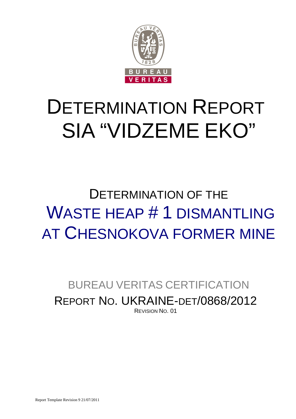

# DETERMINATION REPORT SIA "VIDZEME EKO"

## DETERMINATION OF THE WASTE HEAP # 1 DISMANTLING AT CHESNOKOVA FORMER MINE

## BUREAU VERITAS CERTIFICATION REPORT NO. UKRAINE-DET/0868/2012 REVISION NO. 01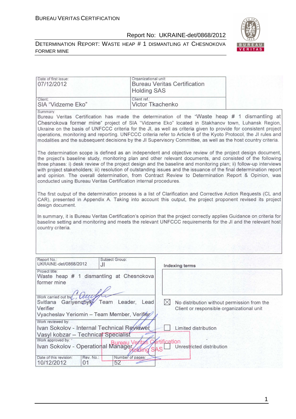



| Date of first issue:<br>07/12/2012                                                                                                                                                                                                                                                                                                                                                                                                                                                                                                                                                                                                              |                        | Organizational unit:<br><b>Bureau Veritas Certification</b><br><b>Holding SAS</b> |                                                                                          |  |
|-------------------------------------------------------------------------------------------------------------------------------------------------------------------------------------------------------------------------------------------------------------------------------------------------------------------------------------------------------------------------------------------------------------------------------------------------------------------------------------------------------------------------------------------------------------------------------------------------------------------------------------------------|------------------------|-----------------------------------------------------------------------------------|------------------------------------------------------------------------------------------|--|
| Client:<br>SIA "Vidzeme Eko"                                                                                                                                                                                                                                                                                                                                                                                                                                                                                                                                                                                                                    |                        | Client ref.:<br><b>Victor Tkachenko</b>                                           |                                                                                          |  |
| Summary:<br>Bureau Veritas Certification has made the determination of the "Waste heap # 1 dismantling at<br>Chesnokova former mine" project of SIA "Vidzeme Eko" located in Stakhanov town, Luhansk Region,<br>Ukraine on the basis of UNFCCC criteria for the JI, as well as criteria given to provide for consistent project<br>operations, monitoring and reporting. UNFCCC criteria refer to Article 6 of the Kyoto Protocol, the JI rules and<br>modalities and the subsequent decisions by the JI Supervisory Committee, as well as the host country criteria.                                                                           |                        |                                                                                   |                                                                                          |  |
| The determination scope is defined as an independent and objective review of the project design document,<br>the project's baseline study, monitoring plan and other relevant documents, and consisted of the following<br>three phases: i) desk review of the project design and the baseline and monitoring plan; ii) follow-up interviews<br>with project stakeholders; iii) resolution of outstanding issues and the issuance of the final determination report<br>and opinion. The overall determination, from Contract Review to Determination Report & Opinion, was<br>conducted using Bureau Veritas Certification internal procedures. |                        |                                                                                   |                                                                                          |  |
| The first output of the determination process is a list of Clarification and Corrective Action Requests (CL and<br>CAR), presented in Appendix A. Taking into account this output, the project proponent revised its project<br>design document.                                                                                                                                                                                                                                                                                                                                                                                                |                        |                                                                                   |                                                                                          |  |
| In summary, it is Bureau Veritas Certification's opinion that the project correctly applies Guidance on criteria for<br>baseline setting and monitoring and meets the relevant UNFCCC requirements for the JI and the relevant host<br>country criteria.                                                                                                                                                                                                                                                                                                                                                                                        |                        |                                                                                   |                                                                                          |  |
|                                                                                                                                                                                                                                                                                                                                                                                                                                                                                                                                                                                                                                                 |                        |                                                                                   |                                                                                          |  |
| Report No.:<br>UKRAINE-det/0868/2012                                                                                                                                                                                                                                                                                                                                                                                                                                                                                                                                                                                                            | Subject Group:<br>JI   |                                                                                   | <b>Indexing terms</b>                                                                    |  |
| Project title:<br>Waste heap # 1 dismantling at Chesnokova<br>former mine                                                                                                                                                                                                                                                                                                                                                                                                                                                                                                                                                                       |                        |                                                                                   |                                                                                          |  |
| Work carried out by Qualfle<br>Svitlana Gariyenchyky Team Leader, Lead<br>Verifier                                                                                                                                                                                                                                                                                                                                                                                                                                                                                                                                                              |                        | $\boxtimes$                                                                       | No distribution without permission from the<br>Client or responsible organizational unit |  |
| Vyacheslav Yeriomin - Team Member, Verifier<br>Work reviewed by:                                                                                                                                                                                                                                                                                                                                                                                                                                                                                                                                                                                |                        |                                                                                   |                                                                                          |  |
| Ivan Sokolov - Internal Technical Reviewer                                                                                                                                                                                                                                                                                                                                                                                                                                                                                                                                                                                                      |                        |                                                                                   | Limited distribution                                                                     |  |
| Vasyl kobzar - Technical Specialist                                                                                                                                                                                                                                                                                                                                                                                                                                                                                                                                                                                                             |                        |                                                                                   |                                                                                          |  |
| Work approved by:<br><b>Rureau Vert Avenue Control Prince Control Control Control Control Control Control Control Control Control Control Control Control Control Control Control Control Control Control Control Control Control Control Control Con</b>                                                                                                                                                                                                                                                                                                                                                                                       |                        | <b><i><u><u>Ertification</u></u></i></b>                                          | Unrestricted distribution                                                                |  |
| Date of this revision:<br>Rev. No.:<br>10/12/2012<br>01                                                                                                                                                                                                                                                                                                                                                                                                                                                                                                                                                                                         | Number of pages:<br>52 |                                                                                   |                                                                                          |  |

1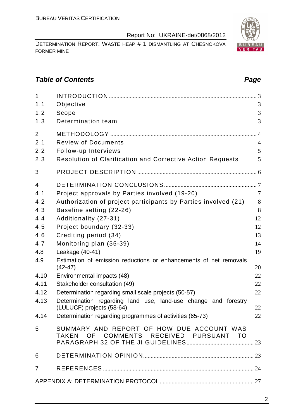DETERMINATION REPORT: WASTE HEAP # 1 DISMANTLING AT CHESNOKOVA FORMER MINE

### **Table of Contents Page 2014**

| $\mathbf{1}$<br>1.1                 | Objective                                                                                                        | 3                        |
|-------------------------------------|------------------------------------------------------------------------------------------------------------------|--------------------------|
| 1.2<br>1.3                          | Scope<br>Determination team                                                                                      | 3<br>3                   |
| $\overline{2}$<br>2.1<br>2.2<br>2.3 | <b>Review of Documents</b><br>Follow-up Interviews<br>Resolution of Clarification and Corrective Action Requests | $\overline{4}$<br>5<br>5 |
| 3                                   |                                                                                                                  |                          |
| $\overline{4}$                      |                                                                                                                  |                          |
| 4.1                                 | Project approvals by Parties involved (19-20)                                                                    | $\overline{7}$           |
| 4.2                                 | Authorization of project participants by Parties involved (21)                                                   | 8                        |
| 4.3                                 | Baseline setting (22-26)                                                                                         | 8                        |
| 4.4                                 | Additionality (27-31)                                                                                            | 12                       |
| 4.5                                 | Project boundary (32-33)                                                                                         | 12                       |
| 4.6                                 | Crediting period (34)                                                                                            | 13                       |
| 4.7                                 | Monitoring plan (35-39)                                                                                          | 14                       |
| 4.8                                 | Leakage (40-41)                                                                                                  | 19                       |
| 4.9                                 | Estimation of emission reductions or enhancements of net removals<br>$(42-47)$                                   | 20                       |
| 4.10                                | Environmental impacts (48)                                                                                       | 22                       |
| 4.11                                | Stakeholder consultation (49)                                                                                    | 22                       |
| 4.12                                | Determination regarding small scale projects (50-57)                                                             | 22                       |
| 4.13                                | Determination regarding land use, land-use change and forestry                                                   | 22                       |
| 4.14                                | (LULUCF) projects (58-64)<br>Determination regarding programmes of activities (65-73)                            | 22                       |
|                                     |                                                                                                                  |                          |
| 5                                   | SUMMARY AND REPORT OF HOW DUE ACCOUNT WAS<br>TAKEN OF COMMENTS RECEIVED PURSUANT TO                              |                          |
| 6                                   |                                                                                                                  |                          |
| $\overline{7}$                      |                                                                                                                  |                          |
|                                     |                                                                                                                  |                          |

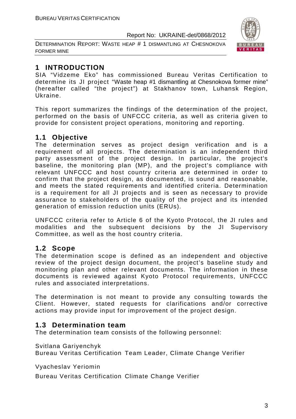DETERMINATION REPORT: WASTE HEAP # 1 DISMANTLING AT CHESNOKOVA FORMER MINE



### **1 INTRODUCTION**

SIA "Vidzeme Eko" has commissioned Bureau Veritas Certification to determine its JI project "Waste heap #1 dismantling at Chesnokova former mine" (hereafter called "the project") at Stakhanov town, Luhansk Region, Ukraine.

This report summarizes the findings of the determination of the project, performed on the basis of UNFCCC criteria, as well as criteria given to provide for consistent project operations, monitoring and reporting.

### **1.1 Objective**

The determination serves as project design verification and is a requirement of all projects. The determination is an independent third party assessment of the project design. In particular, the project's baseline, the monitoring plan (MP), and the project's compliance with relevant UNFCCC and host country criteria are determined in order to confirm that the project design, as documented, is sound and reasonable, and meets the stated requirements and identified criteria. Determination is a requirement for all JI projects and is seen as necessary to provide assurance to stakeholders of the quality of the project and its intended generation of emission reduction units (ERUs).

UNFCCC criteria refer to Article 6 of the Kyoto Protocol, the JI rules and modalities and the subsequent decisions by the JI Supervisory Committee, as well as the host country criteria.

### **1.2 Scope**

The determination scope is defined as an independent and objective review of the project design document, the project's baseline study and monitoring plan and other relevant documents. The information in these documents is reviewed against Kyoto Protocol requirements, UNFCCC rules and associated interpretations.

The determination is not meant to provide any consulting towards the Client. However, stated requests for clarifications and/or corrective actions may provide input for improvement of the project design.

### **1.3 Determination team**

The determination team consists of the following personnel:

Svitlana Gariyenchyk

Bureau Veritas Certification Team Leader, Climate Change Verifier

Vyacheslav Yeriomin

Bureau Veritas Certification Climate Change Verifier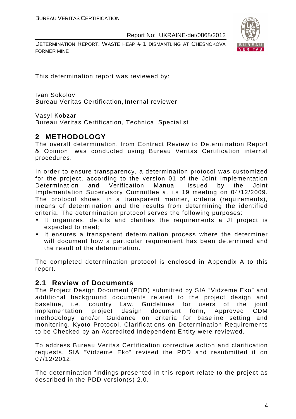DETERMINATION REPORT: WASTE HEAP # 1 DISMANTLING AT CHESNOKOVA FORMER MINE



This determination report was reviewed by:

Ivan Sokolov Bureau Veritas Certification, Internal reviewer

Vasyl Kobzar

Bureau Veritas Certification, Technical Specialist

### **2 METHODOLOGY**

The overall determination, from Contract Review to Determination Report & Opinion, was conducted using Bureau Veritas Certification internal procedures.

In order to ensure transparency, a determination protocol was customized for the project, according to the version 01 of the Joint Implementation Determination and Verification Manual, issued by the Joint Implementation Supervisory Committee at its 19 meeting on 04/12/2009. The protocol shows, in a transparent manner, criteria (requirements), means of determination and the results from determining the identified criteria. The determination protocol serves the following purposes:

- It organizes, details and clarifies the requirements a JI project is expected to meet;
- It ensures a transparent determination process where the determiner will document how a particular requirement has been determined and the result of the determination.

The completed determination protocol is enclosed in Appendix A to this report.

### **2.1 Review of Documents**

The Project Design Document (PDD) submitted by SIA "Vidzeme Eko" and additional background documents related to the project design and baseline, i.e. country Law, Guidelines for users of the joint implementation project design document form, Approved CDM methodology and/or Guidance on criteria for baseline setting and monitoring, Kyoto Protocol, Clarifications on Determination Requirements to be Checked by an Accredited Independent Entity were reviewed.

To address Bureau Veritas Certification corrective action and clarification requests, SIA "Vidzeme Eko" revised the PDD and resubmitted it on 07/12/2012.

The determination findings presented in this report relate to the project as described in the PDD version(s) 2.0.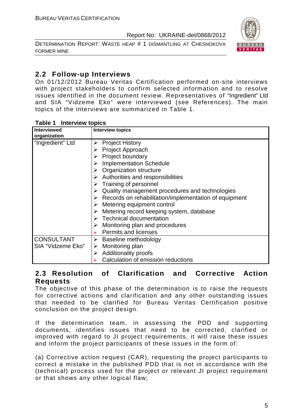DETERMINATION REPORT: WASTE HEAP # 1 DISMANTLING AT CHESNOKOVA FORMER MINE



### **2.2 Follow-up Interviews**

On 01/12/2012 Bureau Veritas Certification performed on-site interviews with project stakeholders to confirm selected information and to resolve issues identified in the document review. Representatives of "Ingredient" Ltd and SIA "Vidzeme Eko" were interviewed (see References). The main topics of the interviews are summarized in Table 1.

| Interviewed<br>organization | <b>Interview topics</b>                                    |
|-----------------------------|------------------------------------------------------------|
| "Ingredient" Ltd            | <b>Project History</b><br>➤                                |
|                             | Project Approach<br>➤                                      |
|                             | Project boundary<br>➤                                      |
|                             | <b>Implementation Schedule</b>                             |
|                             | $\triangleright$ Organization structure                    |
|                             | $\triangleright$ Authorities and responsibilities          |
|                             | $\triangleright$ Training of personnel                     |
|                             | Quality management procedures and technologies<br>➤        |
|                             | Records on rehabilitation/implementation of equipment<br>➤ |
|                             | Metering equipment control                                 |
|                             | Metering record keeping system, database<br>➤              |
|                             | $\triangleright$ Technical documentation                   |
|                             | Monitoring plan and procedures<br>➤                        |
|                             | $\triangleright$ Permits and licenses                      |
| <b>CONSULTANT</b>           | Baseline methodology<br>≻                                  |
| SIA "Vidzeme Eko"           | Monitoring plan<br>➤                                       |
|                             | <b>Additionality proofs</b><br>➤                           |
|                             | Calculation of emission reductions                         |

#### **Table 1 Interview topics**

### **2.3 Resolution of Clarification and Corrective Action Requests**

The objective of this phase of the determination is to raise the requests for corrective actions and clarification and any other outstanding issues that needed to be clarified for Bureau Veritas Certification positive conclusion on the project design.

If the determination team, in assessing the PDD and supporting documents, identifies issues that need to be corrected, clarified or improved with regard to JI project requirements, it will raise these issues and inform the project participants of these issues in the form of:

(a) Corrective action request (CAR), requesting the project participants to correct a mistake in the published PDD that is not in accordance with the (technical) process used for the project or relevant JI project requirement or that shows any other logical flaw;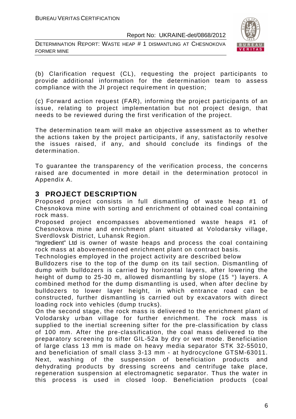DETERMINATION REPORT: WASTE HEAP # 1 DISMANTLING AT CHESNOKOVA FORMER MINE



(b) Clarification request (CL), requesting the project participants to provide additional information for the determination team to assess compliance with the JI project requirement in question;

(c) Forward action request (FAR), informing the project participants of an issue, relating to project implementation but not project design, that needs to be reviewed during the first verification of the project.

The determination team will make an objective assessment as to whether the actions taken by the project participants, if any, satisfactorily resolve the issues raised, if any, and should conclude its findings of the determination.

To guarantee the transparency of the verification process, the concerns raised are documented in more detail in the determination protocol in Appendix A.

### **3 PROJECT DESCRIPTION**

Proposed project consists in full dismantling of waste heap #1 of Chesnokova mine with sorting and enrichment of obtained coal containing rock mass.

Proposed project encompasses abovementioned waste heaps #1 of Chesnokova mine and enrichment plant situated at Volodarsky village, Sverdlovsk District, Luhansk Region.

"Ingredient" Ltd is owner of waste heaps and process the coal containing rock mass at abovementioned enrichment plant on contract basis.

Technologies employed in the project activity are described below

Bulldozers rise to the top of the dump on its tail section. Dismantling of dump with bulldozers is carried by horizontal layers, after lowering the height of dump to 25-30 m, allowed dismantling by slope (15 °) layers. A combined method for the dump dismantling is used, when after decline by bulldozers to lower layer height, in which entrance road can be constructed, further dismantling is carried out by excavators with direct loading rock into vehicles (dump trucks).

On the second stage, the rock mass is delivered to the enrichment plant of Volodarsky urban village for further enrichment. The rock mass is supplied to the inertial screening sifter for the pre-classification by class of 100 mm. After the pre-classification, the coal mass delivered to the preparatory screening to sifter GIL-52a by dry or wet mode. Beneficiation of large class 13 mm is made on heavy media separator STK 32-55010, and beneficiation of small class 3-13 mm - at hydrocyclone GTSM-63011. Next, washing of the suspension of beneficiation products and dehydrating products by dressing screens and centrifuge take place, regeneration suspension at electromagnetic separator. Thus the water in this process is used in closed loop. Beneficiation products (coal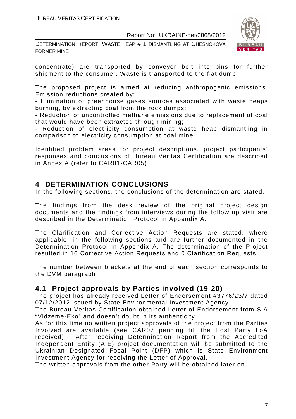DETERMINATION REPORT: WASTE HEAP # 1 DISMANTLING AT CHESNOKOVA FORMER MINE



concentrate) are transported by conveyor belt into bins for further shipment to the consumer. Waste is transported to the flat dump

The proposed project is aimed at reducing anthropogenic emissions. Emission reductions created by:

- Elimination of greenhouse gases sources associated with waste heaps burning, by extracting coal from the rock dumps;

- Reduction of uncontrolled methane emissions due to replacement of coal that would have been extracted through mining;

- Reduction of electricity consumption at waste heap dismantling in comparison to electricity consumption at coal mine.

Identified problem areas for project descriptions, project participants' responses and conclusions of Bureau Veritas Certification are described in Annex A (refer to CAR01-CAR05)

### **4 DETERMINATION CONCLUSIONS**

In the following sections, the conclusions of the determination are stated.

The findings from the desk review of the original project design documents and the findings from interviews during the follow up visit are described in the Determination Protocol in Appendix A.

The Clarification and Corrective Action Requests are stated, where applicable, in the following sections and are further documented in the Determination Protocol in Appendix A. The determination of the Project resulted in 16 Corrective Action Requests and 0 Clarification Requests.

The number between brackets at the end of each section corresponds to the DVM paragraph

### **4.1 Project approvals by Parties involved (19-20)**

The project has already received Letter of Endorsement #3776/23/7 dated 07/12/2012 issued by State Environmental Investment Agency.

The Bureau Veritas Certification obtained Letter of Endorsement from SIA "Vidzeme-Eko" and doesn't doubt in its authenticity.

As for this time no written project approvals of the project from the Parties Involved are available (see CAR07 pending till the Host Party LoA received). After receiving Determination Report from the Accredited Independent Entity (AIE) project documentation will be submitted to the Ukrainian Designated Focal Point (DFP) which is State Environment Investment Agency for receiving the Letter of Approval.

The written approvals from the other Party will be obtained later on.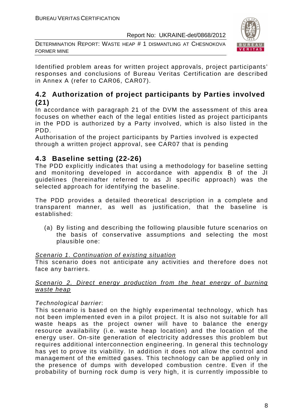DETERMINATION REPORT: WASTE HEAP # 1 DISMANTLING AT CHESNOKOVA FORMER MINE



Identified problem areas for written project approvals, project participants' responses and conclusions of Bureau Veritas Certification are described in Annex A (refer to CAR06, CAR07).

### **4.2 Authorization of project participants by Parties involved (21)**

In accordance with paragraph 21 of the DVM the assessment of this area focuses on whether each of the legal entities listed as project participants in the PDD is authorized by a Party involved, which is also listed in the PDD.

Authorisation of the project participants by Parties involved is expected through a written project approval, see CAR07 that is pending

### **4.3 Baseline setting (22-26)**

The PDD explicitly indicates that using a methodology for baseline setting and monitoring developed in accordance with appendix B of the JI guidelines (hereinafter referred to as JI specific approach) was the selected approach for identifying the baseline.

The PDD provides a detailed theoretical description in a complete and transparent manner, as well as justification, that the baseline is established:

(a) By listing and describing the following plausible future scenarios on the basis of conservative assumptions and selecting the most plausible one:

### Scenario 1. Continuation of existing situation

This scenario does not anticipate any activities and therefore does not face any barriers.

### Scenario 2. Direct energy production from the heat energy of burning waste heap

### Technological barrier:

This scenario is based on the highly experimental technology, which has not been implemented even in a pilot project. It is also not suitable for all waste heaps as the project owner will have to balance the energy resource availability (i.e. waste heap location) and the location of the energy user. On-site generation of electricity addresses this problem but requires additional interconnection engineering. In general this technology has yet to prove its viability. In addition it does not allow the control and management of the emitted gases. This technology can be applied only in the presence of dumps with developed combustion centre. Even if the probability of burning rock dump is very high, it is currently impossible to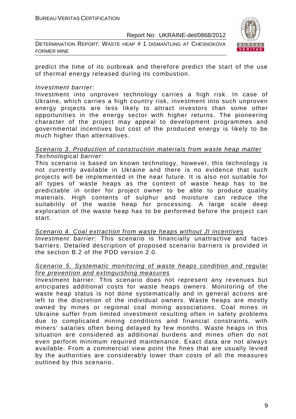DETERMINATION REPORT: WASTE HEAP # 1 DISMANTLING AT CHESNOKOVA FORMER MINE



predict the time of its outbreak and therefore predict the start of the use of thermal energy released during its combustion.

#### Investment barrier:

Investment into unproven technology carries a high risk. In case of Ukraine, which carries a high country risk, investment into such unproven energy projects are less likely to attract investors than some other opportunities in the energy sector with higher returns. The pioneering character of the project may appeal to development programmes and governmental incentives but cost of the produced energy is likely to be much higher than alternatives.

#### Scenario 3. Production of construction materials from waste heap matter Technological barrier:

This scenario is based on known technology, however, this technology is not currently available in Ukraine and there is no evidence that such projects will be implemented in the near future. It is also not suitable for all types of waste heaps as the content of waste heap has to be predictable in order for project owner to be able to produce quality materials. High contents of sulphur and moisture can reduce the suitability of the waste heap for processing. A large scale deep exploration of the waste heap has to be performed before the project can start.

Scenario 4. Coal extraction from waste heaps without JI incentives Investment barrier: This scenario is financially unattractive and faces barriers. Detailed description of proposed scenario barriers is provided in the section B.2 of the PDD version 2.0.

### Scenario 5. Systematic monitoring of waste heaps condition and regular fire prevention and extinguishing measures

Investment barrier: This scenario does not represent any revenues but anticipates additional costs for waste heaps owners. Monitoring of the waste heap status is not done systematically and in general actions are left to the discretion of the individual owners. Waste heaps are mostly owned by mines or regional coal mining associations. Coal mines in Ukraine suffer from limited investment resulting often in safety problems due to complicated mining conditions and financial constraints, with miners' salaries often being delayed by few months. Waste heaps in this situation are considered as additional burdens and mines often do not even perform minimum required maintenance. Exact data are not always available. From a commercial view point the fines that are usually levied by the authorities are considerably lower than costs of all the measures outlined by this scenario.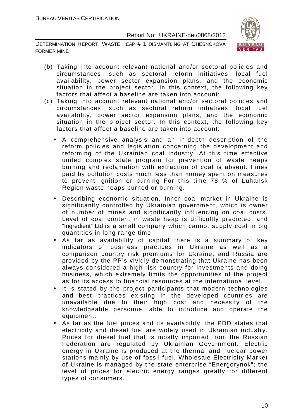DETERMINATION REPORT: WASTE HEAP # 1 DISMANTLING AT CHESNOKOVA FORMER MINE



- (b) Taking into account relevant national and/or sectoral policies and circumstances, such as sectoral reform initiatives, local fuel availability, power sector expansion plans, and the economic situation in the project sector. In this context, the following key factors that affect a baseline are taken into account:
- (c) Taking into account relevant national and/or sectoral policies and circumstances, such as sectoral reform initiatives, local fuel availability, power sector expansion plans, and the economic situation in the project sector. In this context, the following key factors that affect a baseline are taken into account:
	- A comprehensive analysis and an in-depth description of the reform policies and legislation concerning the development and reforming of the Ukrainian coal industry. At this time effective united complex state program for prevention of waste heaps burning and reclamation with extraction of coal is absent. Fines paid by pollution costs much less than money spent on measures to prevent ignition or burning For this time 78 % of Luhansk Region waste heaps burned or burning.
	- Describing economic situation. Inner coal market in Ukraine is significantly controlled by Ukrainian government, which is owner of number of mines and significantly influencing on coal costs. Level of coal content in waste heap is difficultly predicted, and "Ingredient" Ltd is a small company which cannot supply coal in big quantities in long range time.
	- As far as availability of capital there is a summary of key indicators of business practices in Ukraine as well as a comparison country risk premiums for Ukraine, and Russia are provided by the PP's vividly demonstrating that Ukraine has been always considered a high-risk country for investments and doing business, which extremely limits the opportunities of the project as for its access to financial resources at the international level.
	- It is stated by the project participants that modern technologies and best practices existing in the developed countries are unavailable due to their high cost and necessity of the knowledgeable personnel able to introduce and operate the equipment.
	- As far as the fuel prices and its availability, the PDD states that electricity and diesel fuel are widely used in Ukrainian industry. Prices for diesel fuel that is mostly imported from the Russian Federation are regulated by Ukrainian Government. Electric energy in Ukraine is produced at the thermal and nuclear power stations mainly by use of fossil fuel. Wholesale Electricity Market of Ukraine is managed by the state enterprise "Energorynok"; the level of prices for electric energy ranges greatly for different types of consumers.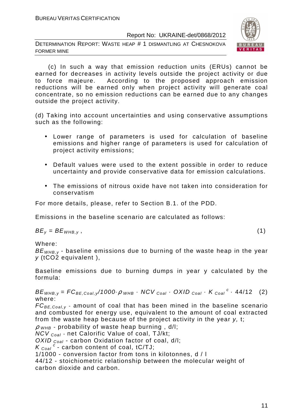DETERMINATION REPORT: WASTE HEAP # 1 DISMANTLING AT CHESNOKOVA FORMER MINE



 (c) In such a way that emission reduction units (ERUs) cannot be earned for decreases in activity levels outside the project activity or due to force majeure. According to the proposed approach emission reductions will be earned only when project activity will generate coal concentrate, so no emission reductions can be earned due to any changes outside the project activity.

(d) Taking into account uncertainties and using conservative assumptions such as the following:

- Lower range of parameters is used for calculation of baseline emissions and higher range of parameters is used for calculation of project activity emissions;
- Default values were used to the extent possible in order to reduce uncertainty and provide conservative data for emission calculations.
- The emissions of nitrous oxide have not taken into consideration for conservatism

For more details, please, refer to Section B.1. of the PDD.

Emissions in the baseline scenario are calculated as follows:

 $BE_v = BE_{WHB,v}$ , (1)

Where:

 $BE<sub>WHB,V</sub>$  - baseline emissions due to burning of the waste heap in the year y (tCO2 equivalent ),

Baseline emissions due to burning dumps in year y calculated by the formula:

 $BE_{WHB,y} = FC_{BE,Coal,y}/1000 \cdot \rho$  whb  $\cdot$  NCV  $_{Coal} \cdot$  OXID  $_{Coal} \cdot K_{Coal}^c \cdot 44/12$  (2) where:

 $FC_{BE, coal,v}$  - amount of coal that has been mined in the baseline scenario and combusted for energy use, equivalent to the amount of coal extracted from the waste heap because of the project activity in the year y, t;

 $\rho$  <sub>WHB</sub> - probability of waste heap burning, d/l;

 $NCV_{Coal}$  - net Calorific Value of coal, TJ/kt;

OXID  $_{Coal}$  - carbon Oxidation factor of coal, d/l;

 $K_{\text{Coal}}^c$  - carbon content of coal, tC/TJ;

1/1000 - conversion factor from tons in kilotonnes, d / l

44/12 - stoichiometric relationship between the molecular weight of carbon dioxide and carbon.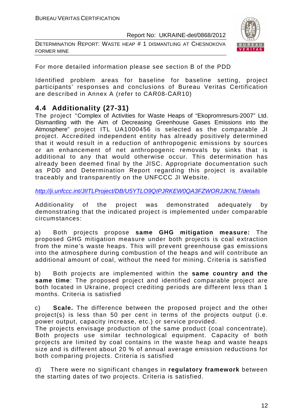DETERMINATION REPORT: WASTE HEAP # 1 DISMANTLING AT CHESNOKOVA FORMER MINE



For more detailed information please see section B of the PDD

Identified problem areas for baseline for baseline setting, project participants' responses and conclusions of Bureau Veritas Certification are described in Annex A (refer to CAR08-СAR10)

### **4.4 Additionality (27-31)**

The project "Complex of Activities for Waste Heaps of "Ekopromresurs-2007" Ltd. Dismantling with the Aim of Decreasing Greenhouse Gases Emissions into the Atmosphere" project ITL UA1000456 is selected as the comparable JI project. Accredited independent entity has already positively determined that it would result in a reduction of anthropogenic emissions by sources or an enhancement of net anthropogenic removals by sinks that is additional to any that would otherwise occur. This determination has already been deemed final by the JISC. Appropriate documentation such as PDD and Determination Report regarding this project is available traceably and transparently on the UNFCCC JI Website.

http://ji.unfccc.int/JIITLProject/DB/U5YTLO9QIPJRKEW0QA3FZWORJJKNLT/details

Additionality of the project was demonstrated adequately by demonstrating that the indicated project is implemented under comparable circumstances:

a) Both projects propose **same GHG mitigation measure:** The proposed GHG mitigation measure under both projects is coal extraction from the mine's waste heaps. This will prevent greenhouse gas emissions into the atmosphere during combustion of the heaps and will contribute an additional amount of coal, without the need for mining. Criteria is satisfied

b) Both projects are implemented within the **same country and the same time**: The proposed project and identified comparable project are both located in Ukraine, project crediting periods are different less than 1 months. Criteria is satisfied

c) **Scale.** The difference between the proposed project and the other project(s) is less than 50 per cent in terms of the projects output (i.e. power output, capacity increase, etc.) or service provided.

The projects envisage production of the same product (coal concentrate). Both projects use similar technological equipment. Capacity of both projects are limited by coal contains in the waste heap and waste heaps size and is different about 20 % of annual average emission reductions for both comparing projects. Criteria is satisfied

d) There were no significant changes in **regulatory framework** between the starting dates of two projects. Criteria is satisfied.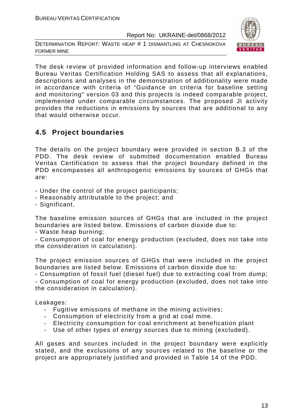DETERMINATION REPORT: WASTE HEAP # 1 DISMANTLING AT CHESNOKOVA FORMER MINE



The desk review of provided information and follow-up interviews enabled Bureau Veritas Certification Holding SAS to assess that all explanations, descriptions and analyses in the demonstration of additionality were made in accordance with criteria of "Guidance on criteria for baseline setting and monitoring" version 03 and this projects is indeed comparable project, implemented under comparable circumstances. The proposed JI activity provides the reductions in emissions by sources that are additional to any that would otherwise occur.

### **4.5 Project boundaries**

The details on the project boundary were provided in section B.3 of the PDD. The desk review of submitted documentation enabled Bureau Veritas Certification to assess that the project boundary defined in the PDD encompasses all anthropogenic emissions by sources of GHGs that are:

- Under the control of the project participants;
- Reasonably attributable to the project; and
- Significant.

The baseline emission sources of GHGs that are included in the project boundaries are listed below. Emissions of carbon dioxide due to:

- Waste heap burning;

- Consumption of coal for energy production (excluded, does not take into the consideration in calculation).

The project emission sources of GHGs that were included in the project boundaries are listed below. Emissions of carbon dioxide due to:

- Consumption of fossil fuel (diesel fuel) due to extracting coal from dump;

- Consumption of coal for energy production (excluded, does not take into the consideration in calculation).

Leakages:

- Fugitive emissions of methane in the mining activities;
- Consumption of electricity from a grid at coal mine.
- Electricity consumption for coal enrichment at benefication plant
- Use of other types of energy sources due to mining (excluded).

All gases and sources included in the project boundary were explicitly stated, and the exclusions of any sources related to the baseline or the project are appropriately justified and provided in Table 14 of the PDD.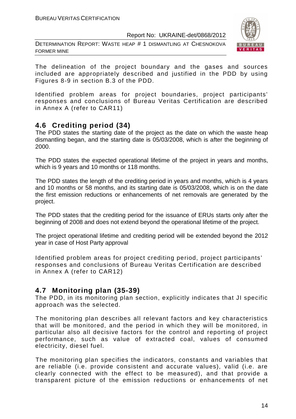DETERMINATION REPORT: WASTE HEAP # 1 DISMANTLING AT CHESNOKOVA FORMER MINE



The delineation of the project boundary and the gases and sources included are appropriately described and justified in the PDD by using Figures 8-9 in section B.3 of the PDD.

Identified problem areas for project boundaries, project participants' responses and conclusions of Bureau Veritas Certification are described in Annex A (refer to CAR11)

### **4.6 Crediting period (34)**

The PDD states the starting date of the project as the date on which the waste heap dismantling began, and the starting date is 05/03/2008, which is after the beginning of 2000.

The PDD states the expected operational lifetime of the project in years and months, which is 9 years and 10 months or 118 months.

The PDD states the length of the crediting period in years and months, which is 4 years and 10 months or 58 months, and its starting date is 05/03/2008, which is on the date the first emission reductions or enhancements of net removals are generated by the project.

The PDD states that the crediting period for the issuance of ERUs starts only after the beginning of 2008 and does not extend beyond the operational lifetime of the project.

The project operational lifetime and crediting period will be extended beyond the 2012 year in case of Host Party approval

Identified problem areas for project crediting period, project participants' responses and conclusions of Bureau Veritas Certification are described in Annex A (refer to CAR12)

### **4.7 Monitoring plan (35-39)**

The PDD, in its monitoring plan section, explicitly indicates that JI specific approach was the selected.

The monitoring plan describes all relevant factors and key characteristics that will be monitored, and the period in which they will be monitored, in particular also all decisive factors for the control and reporting of project performance, such as value of extracted coal, values of consumed electricity, diesel fuel.

The monitoring plan specifies the indicators, constants and variables that are reliable (i.e. provide consistent and accurate values), valid (i.e. are clearly connected with the effect to be measured), and that provide a transparent picture of the emission reductions or enhancements of net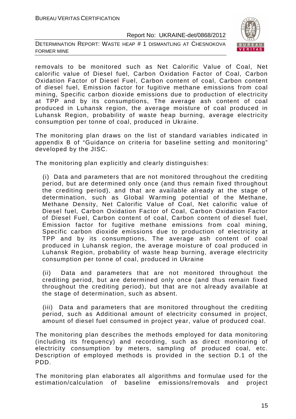DETERMINATION REPORT: WASTE HEAP # 1 DISMANTLING AT CHESNOKOVA FORMER MINE



removals to be monitored such as Net Calorific Value of Coal, Net calorific value of Diesel fuel, Carbon Oxidation Factor of Coal, Carbon Oxidation Factor of Diesel Fuel, Carbon content of coal, Carbon content of diesel fuel, Emission factor for fugitive methane emissions from coal mining, Specific carbon dioxide emissions due to production of electricity at TPP and by its consumptions, The average ash content of coal produced in Luhansk region, the average moisture of coal produced in Luhansk Region, probability of waste heap burning, average electricity consumption per tonne of coal, produced in Ukraine.

The monitoring plan draws on the list of standard variables indicated in appendix B of "Guidance on criteria for baseline setting and monitoring" developed by the JISC.

The monitoring plan explicitly and clearly distinguishes:

(i) Data and parameters that are not monitored throughout the crediting period, but are determined only once (and thus remain fixed throughout the crediting period), and that are available already at the stage of determination, such as Global Warming potential of the Methane, Methane Density, Net Calorific Value of Coal, Net calorific value of Diesel fuel, Carbon Oxidation Factor of Coal, Carbon Oxidation Factor of Diesel Fuel, Carbon content of coal, Carbon content of diesel fuel, Emission factor for fugitive methane emissions from coal mining, Specific carbon dioxide emissions due to production of electricity at TPP and by its consumptions, The average ash content of coal produced in Luhansk region, the average moisture of coal produced in Luhansk Region, probability of waste heap burning, average electricity consumption per tonne of coal, produced in Ukraine

(ii) Data and parameters that are not monitored throughout the crediting period, but are determined only once (and thus remain fixed throughout the crediting period), but that are not already available at the stage of determination, such as absent.

(iii) Data and parameters that are monitored throughout the crediting period, such as Additional amount of electricity consumed in project, amount of diesel fuel consumed in project year, value of produced coal.

The monitoring plan describes the methods employed for data monitoring (including its frequency) and recording, such as direct monitoring of electricity consumption by meters, sampling of produced coal, etc. Description of employed methods is provided in the section D.1 of the PDD.

The monitoring plan elaborates all algorithms and formulae used for the estimation/calculation of baseline emissions/removals and project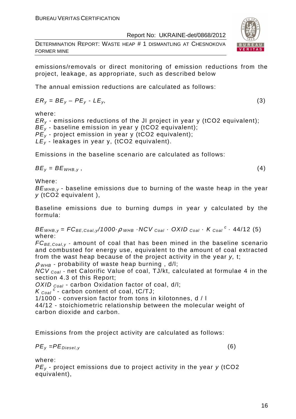DETERMINATION REPORT: WASTE HEAP # 1 DISMANTLING AT CHESNOKOVA FORMER MINE

emissions/removals or direct monitoring of emission reductions from the project, leakage, as appropriate, such as described below

The annual emission reductions are calculated as follows:

$$
ER_y = BE_y - PE_y - LE_y, \tag{3}
$$

where:

 $ER<sub>v</sub>$  - emissions reductions of the JI project in year y (tCO2 equivalent);  $BE_v$  - baseline emission in year y (tCO2 equivalent);  $PE<sub>y</sub>$  - project emission in year y (tCO2 equivalent);  $LE_v$  - leakages in year y, (tCO2 equivalent).

Emissions in the baseline scenario are calculated as follows:

 $BE_v = BE_{WHB.v}$ , (4)

Where:

 $BE<sub>WHB-V</sub>$  - baseline emissions due to burning of the waste heap in the year  $v$  (tCO2 equivalent).

Baseline emissions due to burning dumps in year y calculated by the formula:

 $BE_{WHB,y} = FC_{BE,Coal,y}$ /1000 $\cdot \rho$   $_{WHB}$   $\cdot$  NCV  $_{Coal}$   $\cdot$  OXID  $_{Coal}$   $\cdot$  K  $_{Coal}$   $\cdot$  44/12 (5) where:

 $FC_{BE,Coal,v}$  - amount of coal that has been mined in the baseline scenario and combusted for energy use, equivalent to the amount of coal extracted from the wast heap because of the project activity in the year y, t;

 $\rho$  w<sub>HB</sub> - probability of waste heap burning, d/l;

NCV <sub>Coal</sub> - net Calorific Value of coal, TJ/kt, calculated at formulae 4 in the section 4.3 of this Report;

OXID  $_{Coal}$  - carbon Oxidation factor of coal, d/l;

 $K_{\text{Coal}}^c$  - carbon content of coal, tC/TJ;

1/1000 - conversion factor from tons in kilotonnes, d / l

44/12 - stoichiometric relationship between the molecular weight of carbon dioxide and carbon.

Emissions from the project activity are calculated as follows:

$$
PE_{y} = PE_{Diesel,y} \tag{6}
$$

where:

 $PE<sub>v</sub>$  - project emissions due to project activity in the year y (tCO2) equivalent),



$$
f_{\rm{max}}
$$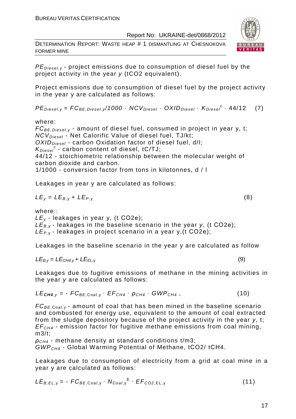DETERMINATION REPORT: WASTE HEAP # 1 DISMANTLING AT CHESNOKOVA FORMER MINE



 $PE_{\text{Diesel},\gamma}$  - project emissions due to consumption of diesel fuel by the project activity in the year y (tCO2 equivalent).

Project emissions due to consumption of diesel fuel by the project activity in the year y are calculated as follows:

 $PE_{\text{Diesel}, y} = FC_{BE, \text{Diesel}, y} / 1000 \cdot NCV_{\text{Diesel}} \cdot OXID_{\text{Diesel}} \cdot K_{\text{Diesel}}^c \cdot 44/12$  (7)

where:

 $FC_{BE, Diesel, y}$  - amount of diesel fuel, consumed in project in year y, t;  $NCV_{Diesel}$  - Net Calorific Value of diesel fuel, TJ/kt;  $OXID<sub>Diesel</sub>$  - carbon Oxidation factor of diesel fuel, d/l;  $K_{\text{Diesel}}^c$  - carbon content of diesel, tC/TJ; 44/12 - stoichiometric relationship between the molecular weight of carbon dioxide and carbon. 1/1000 - conversion factor from tons in kilotonnes, d / l

Leakages in year y are calculated as follows:

$$
LE_y = LE_{B,y} + LE_{P,y}
$$
 (8)

where::

 $LE<sub>v</sub>$  - leakages in year y, (t CO2e);  $LE_{B,y}$  - leakages in the baseline scenario in the year y, (t CO2e);  $LE_{P,Y}$ - leakages in project scenario in a year y, (t CO2e);

Leakages in the baseline scenario in the year y are calculated as follow

$$
LE_{B,y} = LE_{CH4,y} + LE_{EL,y}
$$
 (9)

Leakages due to fugitive emissions of methane in the mining activities in the year y are calculated as follows:

$$
LE_{\text{CH4},y} = -FC_{BE, \text{Coal},y} \cdot EF_{CH4} \cdot \rho_{CH4} \cdot GWP_{CH4}, \qquad (10)
$$

 $FC_{BE, coal,v}$  - amount of coal that has been mined in the baseline scenario and combusted for energy use, equivalent to the amount of coal extracted from the sludge depository because of the project activity in the year y, t;  $EF<sub>CH4</sub>$  - emission factor for fugitive methane emissions from coal mining, m3/t;

 $\rho_{CH4}$  - methane density at standard conditions t/m3: GWPCH4 - Global Warming Potential of Methane, tСО2/ tСН4.

Leakages due to consumption of electricity from a grid at coal mine in a year y are calculated as follows:

$$
LE_{B,EL,y} = -FC_{BE,Coal,y} \cdot N_{Coal,y}^{E} \cdot EF_{CO2,EL,y}
$$
 (11)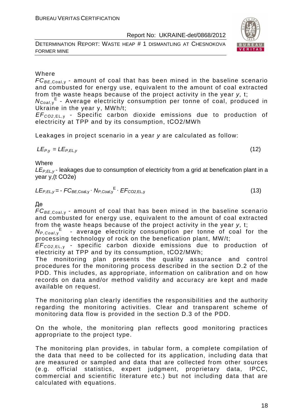DETERMINATION REPORT: WASTE HEAP # 1 DISMANTLING AT CHESNOKOVA FORMER MINE



### Where

 $FC_{BE, coal,v}$  - amount of coal that has been mined in the baseline scenario and combusted for energy use, equivalent to the amount of coal extracted from the waste heaps because of the project activity in the year y, t;

N<sub>Coal,y</sub><sup>E</sup> - Average electricity consumption per tonne of coal, produced in Ukraine in the year y, MWh/t;

EF<sup>C</sup>*О*2,EL, <sup>у</sup> - Specific carbon dioxide emissions due to production of electricity at TPP and by its consumption, tСО2/MWh

Leakages in project scenario in a year y are calculated as follow:

$$
LE_{P,y} = LE_{P,EL,y} \tag{12}
$$

**Where** 

 $LE_{P,FL,V}$ - leakages due to consumption of electricity from a grid at benefication plant in a year y,(t СО2е)

$$
LE_{P,EL,y} = -FC_{BE,Coal,y} \cdot N_{P,Coal,y}^{E} \cdot EF_{CO2,EL,y}
$$
 (13)

#### Де

 $FC_{BE,Coal,v}$  - amount of coal that has been mined in the baseline scenario and combusted for energy use, equivalent to the amount of coal extracted from the waste heaps because of the project activity in the year y, t;

 $N_{P,Coal,y}$ <sup>E</sup> - average electricity consumption per tonne of coal for the processing technology of rock on the benefication plant, MW/t;

EF<sup>C</sup>*О*2,EL, <sup>у</sup> - specific carbon dioxide emissions due to production of electricity at TPP and by its consumption, tСО2/MWh;

The monitoring plan presents the quality assurance and control procedures for the monitoring process described in the section D.2 of the PDD. This includes, as appropriate, information on calibration and on how records on data and/or method validity and accuracy are kept and made available on request.

The monitoring plan clearly identifies the responsibilities and the authority regarding the monitoring activities. Clear and transparent scheme of monitoring data flow is provided in the section D.3 of the PDD.

On the whole, the monitoring plan reflects good monitoring practices appropriate to the project type.

The monitoring plan provides, in tabular form, a complete compilation of the data that need to be collected for its application, including data that are measured or sampled and data that are collected from other sources (e.g. official statistics, expert judgment, proprietary data, IPCC, commercial and scientific literature etc.) but not including data that are calculated with equations.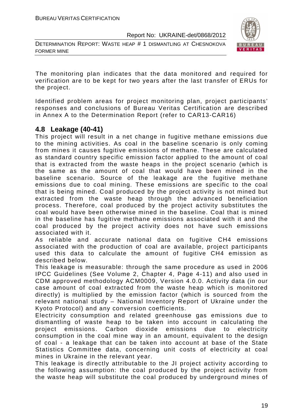DETERMINATION REPORT: WASTE HEAP # 1 DISMANTLING AT CHESNOKOVA FORMER MINE



The monitoring plan indicates that the data monitored and required for verification are to be kept for two years after the last transfer of ERUs for the project.

Identified problem areas for project monitoring plan, project participants' responses and conclusions of Bureau Veritas Certification are described in Annex A to the Determination Report (refer to CAR13-CAR16)

### **4.8 Leakage (40-41)**

This project will result in a net change in fugitive methane emissions due to the mining activities. As coal in the baseline scenario is only coming from mines it causes fugitive emissions of methane. These are calculated as standard country specific emission factor applied to the amount of coal that is extracted from the waste heaps in the project scenario (which is the same as the amount of coal that would have been mined in the baseline scenario. Source of the leakage are the fugitive methane emissions due to coal mining. These emissions are specific to the coal that is being mined. Coal produced by the project activity is not mined but extracted from the waste heap through the advanced beneficiation process. Therefore, coal produced by the project activity substitutes the coal would have been otherwise mined in the baseline. Coal that is mined in the baseline has fugitive methane emissions associated with it and the coal produced by the project activity does not have such emissions associated with it.

As reliable and accurate national data on fugitive CH4 emissions associated with the production of coal are available, project participants used this data to calculate the amount of fugitive CH4 emission as described below.

This leakage is measurable: through the same procedure as used in 2006 IPCC Guidelines (See Volume 2, Chapter 4, Page 4-11) and also used in CDM approved methodology ACM0009, Version 4.0.0. Activity data (in our case amount of coal extracted from the waste heap which is monitored directly) is multiplied by the emission factor (which is sourced from the relevant national study – National Inventory Report of Ukraine under the Kyoto Protocol) and any conversion coefficients.

Electricity consumption and related greenhouse gas emissions due to dismantling of waste heap to be taken into account in calculating the project emissions. Carbon dioxide emissions due to electricity consumption in the coal mine way in an amount, equivalent to the design of coal - a leakage that can be taken into account at base of the State Statistics Committee data, concerning unit costs of electricity at coal mines in Ukraine in the relevant year.

This leakage is directly attributable to the JI project activity according to the following assumption: the coal produced by the project activity from the waste heap will substitute the coal produced by underground mines of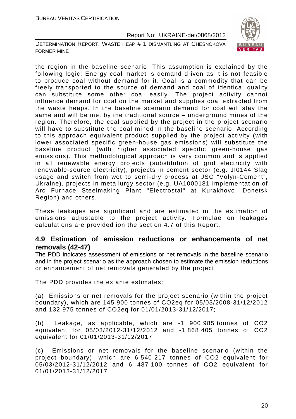DETERMINATION REPORT: WASTE HEAP # 1 DISMANTLING AT CHESNOKOVA FORMER MINE



the region in the baseline scenario. This assumption is explained by the following logic: Energy coal market is demand driven as it is not feasible to produce coal without demand for it. Coal is a commodity that can be freely transported to the source of demand and coal of identical quality can substitute some other coal easily. The project activity cannot influence demand for coal on the market and supplies coal extracted from the waste heaps. In the baseline scenario demand for coal will stay the same and will be met by the traditional source – underground mines of the region. Therefore, the coal supplied by the project in the project scenario will have to substitute the coal mined in the baseline scenario. According to this approach equivalent product supplied by the project activity (with lower associated specific green-house gas emissions) will substitute the baseline product (with higher associated specific green-house gas emissions). This methodological approach is very common and is applied in all renewable energy projects (substitution of grid electricity with renewable-source electricity), projects in cement sector (e.g. JI0144 Slag usage and switch from wet to semi-dry process at JSC "Volyn-Cement", Ukraine), projects in metallurgy sector (e.g. UA1000181 Implementation of Arc Furnace Steelmaking Plant "Electrostal" at Kurakhovo, Donetsk Region) and others.

These leakages are significant and are estimated in the estimation of emissions adjustable to the project activity. Formulae on leakages calculations are provided ion the section 4.7 of this Report.

### **4.9 Estimation of emission reductions or enhancements of net removals (42-47)**

The PDD indicates assessment of emissions or net removals in the baseline scenario and in the project scenario as the approach chosen to estimate the emission reductions or enhancement of net removals generated by the project.

The PDD provides the ex ante estimates:

(a) Emissions or net removals for the project scenario (within the project boundary), which are 145 900 tonnes of CO2eq for 05/03/2008-31/12/2012 and 132 975 tonnes of CO2eq for 01/01/2013-31/12/2017;

(b) Leakage, as applicable, which are -1 900 985 tonnes of CO2 equivalent for 05/03/2012-31/12/2012 and -1 868 405 tonnes of CO2 equivalent for 01/01/2013-31/12/2017

(c) Emissions or net removals for the baseline scenario (within the project boundary), which are 6 540 217 tonnes of CO2 equivalent for 05/03/2012-31/12/2012 and 6 487 100 tonnes of CO2 equivalent for 01/01/2013-31/12/2017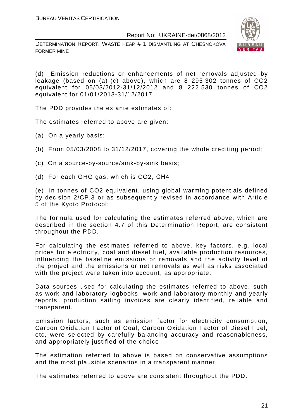DETERMINATION REPORT: WASTE HEAP # 1 DISMANTLING AT CHESNOKOVA FORMER MINE



(d) Emission reductions or enhancements of net removals adjusted by leakage (based on (a)-(c) above), which are 8 295 302 tonnes of CO2 equivalent for 05/03/2012-31/12/2012 and 8 222 530 tonnes of CO2 equivalent for 01/01/2013-31/12/2017

The PDD provides the ex ante estimates of:

The estimates referred to above are given:

- (a) On a yearly basis;
- (b) From 05/03/2008 to 31/12/2017, covering the whole crediting period;
- (c) On a source-by-source/sink-by-sink basis;
- (d) For each GHG gas, which is CO2, СН4

(e) In tonnes of CO2 equivalent, using global warming potentials defined by decision 2/CP.3 or as subsequently revised in accordance with Article 5 of the Kyoto Protocol;

The formula used for calculating the estimates referred above, which are described in the section 4.7 of this Determination Report, are consistent throughout the PDD.

For calculating the estimates referred to above, key factors, e.g. local prices for electricity, coal and diesel fuel, available production resources, influencing the baseline emissions or removals and the activity level of the project and the emissions or net removals as well as risks associated with the project were taken into account, as appropriate.

Data sources used for calculating the estimates referred to above, such as work and laboratory logbooks, work and laboratory monthly and yearly reports, production sailing invoices are clearly identified, reliable and transparent.

Emission factors, such as emission factor for electricity consumption, Carbon Oxidation Factor of Coal, Carbon Oxidation Factor of Diesel Fuel, etc, were selected by carefully balancing accuracy and reasonableness, and appropriately justified of the choice.

The estimation referred to above is based on conservative assumptions and the most plausible scenarios in a transparent manner.

The estimates referred to above are consistent throughout the PDD.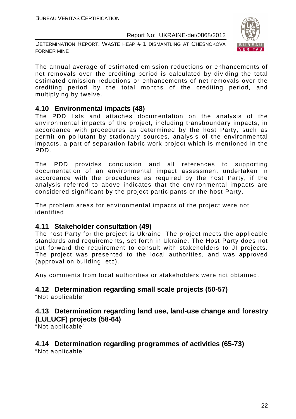DETERMINATION REPORT: WASTE HEAP # 1 DISMANTLING AT CHESNOKOVA FORMER MINE



The annual average of estimated emission reductions or enhancements of net removals over the crediting period is calculated by dividing the total estimated emission reductions or enhancements of net removals over the crediting period by the total months of the crediting period, and multiplying by twelve.

### **4.10 Environmental impacts (48)**

The PDD lists and attaches documentation on the analysis of the environmental impacts of the project, including transboundary impacts, in accordance with procedures as determined by the host Party, such as permit on pollutant by stationary sources, analysis of the environmental impacts, a part of separation fabric work project which is mentioned in the PDD.

The PDD provides conclusion and all references to supporting documentation of an environmental impact assessment undertaken in accordance with the procedures as required by the host Party, if the analysis referred to above indicates that the environmental impacts are considered significant by the project participants or the host Party.

The problem areas for environmental impacts of the project were not identified

### **4.11 Stakeholder consultation (49)**

The host Party for the project is Ukraine. The project meets the applicable standards and requirements, set forth in Ukraine. The Host Party does not put forward the requirement to consult with stakeholders to JI projects. The project was presented to the local authorities, and was approved (approval on building, etc).

Any comments from local authorities or stakeholders were not obtained.

### **4.12 Determination regarding small scale projects (50-57)**

"Not applicable"

### **4.13 Determination regarding land use, land-use change and forestry (LULUCF) projects (58-64)**

"Not applicable"

### **4.14 Determination regarding programmes of activities (65-73)**

"Not applicable"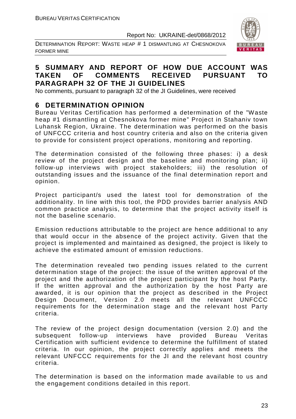DETERMINATION REPORT: WASTE HEAP # 1 DISMANTLING AT CHESNOKOVA FORMER MINE



### **5 SUMMARY AND REPORT OF HOW DUE ACCOUNT WAS TAKEN OF COMMENTS RECEIVED PURSUANT TO PARAGRAPH 32 OF THE JI GUIDELINES**

No comments, pursuant to paragraph 32 of the JI Guidelines, were received

### **6 DETERMINATION OPINION**

Bureau Veritas Certification has performed a determination of the "Waste heap #1 dismantling at Chesnokova former mine" Project in Stahaniv town Luhansk Region, Ukraine. The determination was performed on the basis of UNFCCC criteria and host country criteria and also on the criteria given to provide for consistent project operations, monitoring and reporting.

The determination consisted of the following three phases: i) a desk review of the project design and the baseline and monitoring plan; ii) follow-up interviews with project stakeholders; iii) the resolution of outstanding issues and the issuance of the final determination report and opinion.

Project participant/s used the latest tool for demonstration of the additionality. In line with this tool, the PDD provides barrier analysis AND common practice analysis, to determine that the project activity itself is not the baseline scenario.

Emission reductions attributable to the project are hence additional to any that would occur in the absence of the project activity. Given that the project is implemented and maintained as designed, the project is likely to achieve the estimated amount of emission reductions.

The determination revealed two pending issues related to the current determination stage of the project: the issue of the written approval of the project and the authorization of the project participant by the host Party. If the written approval and the authorization by the host Party are awarded, it is our opinion that the project as described in the Project Design Document, Version 2.0 meets all the relevant UNFCCC requirements for the determination stage and the relevant host Party criteria.

The review of the project design documentation (version 2.0) and the subsequent follow-up interviews have provided Bureau Veritas Certification with sufficient evidence to determine the fulfillment of stated criteria. In our opinion, the project correctly applies and meets the relevant UNFCCC requirements for the JI and the relevant host country criteria.

The determination is based on the information made available to us and the engagement conditions detailed in this report.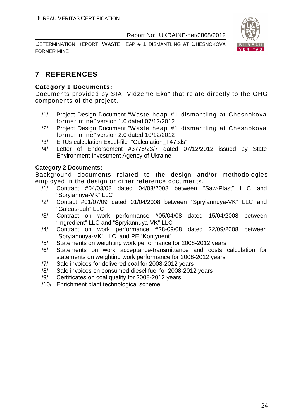DETERMINATION REPORT: WASTE HEAP # 1 DISMANTLING AT CHESNOKOVA FORMER MINE



### **7 REFERENCES**

### **Category 1 Documents:**

Documents provided by SIA "Vidzeme Eko" that relate directly to the GHG components of the project.

- /1/ Project Design Document "Waste heap #1 dismantling at Chesnokova former mine" version 1.0 dated 07/12/2012
- /2/ Project Design Document "Waste heap #1 dismantling at Chesnokova former mine" version 2.0 dated 10/12/2012
- /3/ ERUs calculation Excel-file "Calculation\_T47.xls"
- /4/ Letter of Endorsement #3776/23/7 dated 07/12/2012 issued by State Environment Investment Agency of Ukraine

### **Category 2 Documents:**

Background documents related to the design and/or methodologies employed in the design or other reference documents.

- /1/ Contract #04/03/08 dated 04/03/2008 between "Saw-Plast" LLC and "Spryiannya-VK" LLC
- /2/ Contact #01/07/09 dated 01/04/2008 between "Spryiannuya-VK" LLC and "Galeas-Luh" LLC
- /3/ Contract on work performance #05/04/08 dated 15/04/2008 between "Ingredient" LLC and "Spryiannuya-VK" LLC
- /4/ Contract on work performance #28-09/08 dated 22/09/2008 between "Spryiannuya-VK" LLC and PE "Kontynent"
- /5/ Statements on weighting work performance for 2008-2012 years
- /6/ Statements on work acceptance-transmittance and costs calculation for statements on weighting work performance for 2008-2012 years
- /7/ Sale invoices for delivered coal for 2008-2012 years
- /8/ Sale invoices on consumed diesel fuel for 2008-2012 years
- /9/ Certificates on coal quality for 2008-2012 years
- /10/ Enrichment plant technological scheme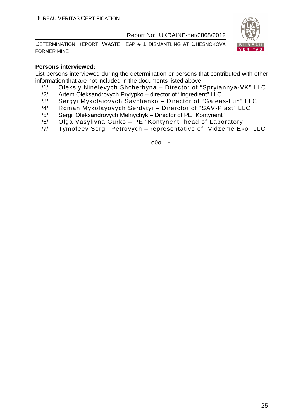DETERMINATION REPORT: WASTE HEAP # 1 DISMANTLING AT CHESNOKOVA FORMER MINE



### **Persons interviewed:**

List persons interviewed during the determination or persons that contributed with other information that are not included in the documents listed above.

- /1/ Oleksiy Ninelevych Shcherbyna Director of "Spryiannya-VK" LLC
- /2/ Artem Oleksandrovych Prylypko director of "Ingredient" LLC
- /3/ Sergyi Mykolaiovych Savchenko Director of "Galeas-Luh" LLC
- /4/ Roman Mykolayovych Serdytyi Direrctor of "SAV-Plast" LLC
- /5/ Sergii Oleksandrovych Melnychyk Director of PE "Kontynent"
- /6/ Olga Vasylivna Gurko PE "Kontynent" head of Laboratory
- /7/ Tymofeev Sergii Petrovych representative of "Vidzeme Eko" LLC

1. o0o -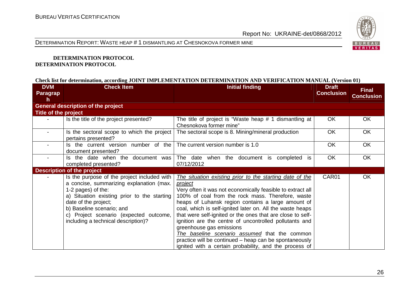

DETERMINATION REPORT: WASTE HEAP # <sup>1</sup> DISMANTLING AT CHESNOKOVA FORMER MINE

#### **DETERMINATION PROTOCOL DETERMINATION PROTOCOL**

#### **Check list for determination, according JOINT IMPLEMENTATION DETERMINATION AND VERIFICATION MANUAL (Version 01)**

| <b>DVM</b><br><b>Paragrap</b><br>h | <b>Check Item</b>                                                                                                                                                                                                                                                                                  | <b>Initial finding</b>                                                                                                                                                                                                                                                                                                                                                                                                                                                                                                                                                                                                                    | <b>Draft</b><br><b>Conclusion</b> | <b>Final</b><br><b>Conclusion</b> |
|------------------------------------|----------------------------------------------------------------------------------------------------------------------------------------------------------------------------------------------------------------------------------------------------------------------------------------------------|-------------------------------------------------------------------------------------------------------------------------------------------------------------------------------------------------------------------------------------------------------------------------------------------------------------------------------------------------------------------------------------------------------------------------------------------------------------------------------------------------------------------------------------------------------------------------------------------------------------------------------------------|-----------------------------------|-----------------------------------|
|                                    | <b>General description of the project</b>                                                                                                                                                                                                                                                          |                                                                                                                                                                                                                                                                                                                                                                                                                                                                                                                                                                                                                                           |                                   |                                   |
| Title of the project               |                                                                                                                                                                                                                                                                                                    |                                                                                                                                                                                                                                                                                                                                                                                                                                                                                                                                                                                                                                           |                                   |                                   |
|                                    | Is the title of the project presented?                                                                                                                                                                                                                                                             | The title of project is "Waste heap # 1 dismantling at  <br>Chesnokova former mine"                                                                                                                                                                                                                                                                                                                                                                                                                                                                                                                                                       | OK.                               | OK                                |
|                                    | Is the sectoral scope to which the project<br>pertains presented?                                                                                                                                                                                                                                  | The sectoral scope is 8. Mining/mineral production                                                                                                                                                                                                                                                                                                                                                                                                                                                                                                                                                                                        | <b>OK</b>                         | OK                                |
|                                    | Is the current version number of the<br>document presented?                                                                                                                                                                                                                                        | The current version number is 1.0                                                                                                                                                                                                                                                                                                                                                                                                                                                                                                                                                                                                         | <b>OK</b>                         | <b>OK</b>                         |
|                                    | Is the date when the document was<br>completed presented?                                                                                                                                                                                                                                          | The date when the document is completed<br><b>is</b><br>07/12/2012                                                                                                                                                                                                                                                                                                                                                                                                                                                                                                                                                                        | <b>OK</b>                         | <b>OK</b>                         |
|                                    | <b>Description of the project</b>                                                                                                                                                                                                                                                                  |                                                                                                                                                                                                                                                                                                                                                                                                                                                                                                                                                                                                                                           |                                   |                                   |
|                                    | Is the purpose of the project included with<br>a concise, summarizing explanation (max.<br>1-2 pages) of the:<br>a) Situation existing prior to the starting<br>date of the project;<br>b) Baseline scenario; and<br>c) Project scenario (expected outcome,<br>including a technical description)? | The situation existing prior to the starting date of the<br><i>project</i><br>Very often it was not economically feasible to extract all<br>100% of coal from the rock mass. Therefore, waste<br>heaps of Luhansk region contains a large amount of<br>coal, which is self-ignited later on. All the waste heaps<br>that were self-ignited or the ones that are close to self-<br>ignition are the centre of uncontrolled pollutants and<br>greenhouse gas emissions<br>The baseline scenario assumed that the common<br>practice will be continued – heap can be spontaneously<br>ignited with a certain probability, and the process of | CAR01                             | OK                                |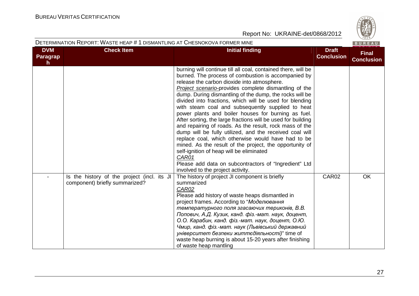

### DETERMINATION REPORT: WASTE HEAP # <sup>1</sup> DISMANTLING AT CHESNOKOVA FORMER MINE

|                                     |                                                                               |                                                                                                                                                                                                                                                                                                                                                                                                                                                                                                                                                                                                                                                                                                                                                                                                                                                                                                                                 |                                   | 100111170                         |
|-------------------------------------|-------------------------------------------------------------------------------|---------------------------------------------------------------------------------------------------------------------------------------------------------------------------------------------------------------------------------------------------------------------------------------------------------------------------------------------------------------------------------------------------------------------------------------------------------------------------------------------------------------------------------------------------------------------------------------------------------------------------------------------------------------------------------------------------------------------------------------------------------------------------------------------------------------------------------------------------------------------------------------------------------------------------------|-----------------------------------|-----------------------------------|
| <b>DVM</b><br><b>Paragrap</b><br>h. | <b>Check Item</b>                                                             | <b>Initial finding</b>                                                                                                                                                                                                                                                                                                                                                                                                                                                                                                                                                                                                                                                                                                                                                                                                                                                                                                          | <b>Draft</b><br><b>Conclusion</b> | <b>Final</b><br><b>Conclusion</b> |
|                                     |                                                                               | burning will continue till all coal, contained there, will be<br>burned. The process of combustion is accompanied by<br>release the carbon dioxide into atmosphere.<br><b>Project scenario-provides complete dismantling of the</b><br>dump. During dismantling of the dump, the rocks will be<br>divided into fractions, which will be used for blending<br>with steam coal and subsequently supplied to heat<br>power plants and boiler houses for burning as fuel.<br>After sorting, the large fractions will be used for building<br>and repairing of roads. As the result, rock mass of the<br>dump will be fully utilized, and the received coal will<br>replace coal, which otherwise would have had to be<br>mined. As the result of the project, the opportunity of<br>self-ignition of heap will be eliminated<br>CAR01<br>Please add data on subcontractors of "Ingredient" Ltd<br>involved to the project activity. |                                   |                                   |
|                                     | Is the history of the project (incl. its JI<br>component) briefly summarized? | The history of project JI component is briefly<br>summarized<br>CAR02<br>Please add history of waste heaps dismantled in<br>project frames. According to "Моделювання<br>температурного поля згасаючих териконів, В.В.<br>Попович, А.Д. Кузик, канд. фіз.-мат. наук, доцент,<br>О.О. Карабин, канд. фіз.-мат. наук, доцент, О.Ю.<br>Чмир, канд. фіз.-мат. наук (Львівський державний<br>університет безпеки життєдіяльності)" time of<br>waste heap burning is about 15-20 years after finishing<br>of waste heap mantling                                                                                                                                                                                                                                                                                                                                                                                                      | CAR02                             | OK                                |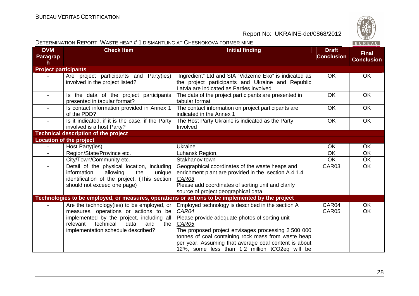

|                              | DETERMINATION REPORT: WASTE HEAP # 1 DISMANTLING AT CHESNOKOVA FORMER MINE                                                                                                                                            |                                                                                                                                                                                                                                                                                                                                                |                                   | BUREAU                            |
|------------------------------|-----------------------------------------------------------------------------------------------------------------------------------------------------------------------------------------------------------------------|------------------------------------------------------------------------------------------------------------------------------------------------------------------------------------------------------------------------------------------------------------------------------------------------------------------------------------------------|-----------------------------------|-----------------------------------|
| <b>DVM</b><br>Paragrap<br>h. | <b>Check Item</b>                                                                                                                                                                                                     | <b>Initial finding</b>                                                                                                                                                                                                                                                                                                                         | <b>Draft</b><br><b>Conclusion</b> | <b>Final</b><br><b>Conclusion</b> |
| <b>Project participants</b>  |                                                                                                                                                                                                                       |                                                                                                                                                                                                                                                                                                                                                |                                   |                                   |
|                              | Are project participants and Party(ies)<br>involved in the project listed?                                                                                                                                            | "Ingredient" Ltd and SIA "Vidzeme Eko" is indicated as<br>the project participants and Ukraine and Republic<br>Latvia are indicated as Parties involved                                                                                                                                                                                        | OK                                | <b>OK</b>                         |
| $\overline{\phantom{a}}$     | Is the data of the project participants<br>presented in tabular format?                                                                                                                                               | The data of the project participants are presented in<br>tabular format                                                                                                                                                                                                                                                                        | <b>OK</b>                         | OK                                |
|                              | Is contact information provided in Annex 1<br>of the PDD?                                                                                                                                                             | The contact information on project participants are<br>indicated in the Annex 1                                                                                                                                                                                                                                                                | OK                                | <b>OK</b>                         |
| $\overline{\phantom{a}}$     | Is it indicated, if it is the case, if the Party<br>involved is a host Party?                                                                                                                                         | The Host Party Ukraine is indicated as the Party<br>Involved                                                                                                                                                                                                                                                                                   | OK                                | OK                                |
|                              | <b>Technical description of the project</b>                                                                                                                                                                           |                                                                                                                                                                                                                                                                                                                                                |                                   |                                   |
|                              | <b>Location of the project</b>                                                                                                                                                                                        |                                                                                                                                                                                                                                                                                                                                                |                                   |                                   |
| $\blacksquare$               | Host Party(ies)                                                                                                                                                                                                       | Ukraine                                                                                                                                                                                                                                                                                                                                        | OK                                | <b>OK</b>                         |
|                              | Region/State/Province etc.                                                                                                                                                                                            | Luhansk Region,                                                                                                                                                                                                                                                                                                                                | OK                                | <b>OK</b>                         |
|                              | City/Town/Community etc.                                                                                                                                                                                              | Stakhanov town                                                                                                                                                                                                                                                                                                                                 | $\overline{OK}$                   | $\overline{OK}$                   |
|                              | Detail of the physical location, including<br>information<br>allowing<br>the<br>unique<br>identification of the project. (This section<br>should not exceed one page)                                                 | Geographical coordinates of the waste heaps and<br>enrichment plant are provided in the section A.4.1.4<br>CAR03<br>Please add coordinates of sorting unit and clarify<br>source of project geographical data                                                                                                                                  | CAR03                             | <b>OK</b>                         |
|                              |                                                                                                                                                                                                                       | Technologies to be employed, or measures, operations or actions to be implemented by the project                                                                                                                                                                                                                                               |                                   |                                   |
|                              | Are the technology(ies) to be employed, or<br>measures, operations or actions to be<br>implemented by the project, including all<br>technical<br>relevant<br>data<br>and<br>the<br>implementation schedule described? | Employed technology is described in the section A<br>CAR04<br>Please provide adequate photos of sorting unit<br>CAR05<br>The proposed project envisages processing 2 500 000<br>tonnes of coal containing rock mass from waste heap<br>per year. Assuming that average coal content is about<br>12%, some less than 1,2 million tCO2eq will be | CAR04<br>CAR05                    | <b>OK</b><br><b>OK</b>            |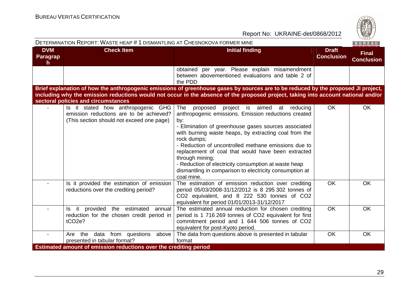

|                              | DETERMINATION REPORT: WASTE HEAP # 1 DISMANTLING AT CHESNOKOVA FORMER MINE                                                 |                                                                                                                                                                                                                                                                                                                                                                                                                                                                                                                  |                                   | BUREAU                            |
|------------------------------|----------------------------------------------------------------------------------------------------------------------------|------------------------------------------------------------------------------------------------------------------------------------------------------------------------------------------------------------------------------------------------------------------------------------------------------------------------------------------------------------------------------------------------------------------------------------------------------------------------------------------------------------------|-----------------------------------|-----------------------------------|
| <b>DVM</b><br>Paragrap<br>h. | <b>Check Item</b>                                                                                                          | <b>Initial finding</b>                                                                                                                                                                                                                                                                                                                                                                                                                                                                                           | <b>Draft</b><br><b>Conclusion</b> | <b>Final</b><br><b>Conclusion</b> |
|                              |                                                                                                                            | obtained per year. Please explain misamendment<br>between abovementioned evaluations and table 2 of<br>the PDD                                                                                                                                                                                                                                                                                                                                                                                                   |                                   |                                   |
|                              | sectoral policies and circumstances                                                                                        | Brief explanation of how the anthropogenic emissions of greenhouse gases by sources are to be reduced by the proposed JI project,<br>including why the emission reductions would not occur in the absence of the proposed project, taking into account national and/or                                                                                                                                                                                                                                           |                                   |                                   |
|                              | Is it stated how anthropogenic GHG<br>emission reductions are to be achieved?<br>(This section should not exceed one page) | The<br>proposed project is aimed<br>at reducing<br>anthropogenic emissions. Emission reductions created<br>by:<br>- Elimination of greenhouse gases sources associated<br>with burning waste heaps, by extracting coal from the<br>rock dumps;<br>- Reduction of uncontrolled methane emissions due to<br>replacement of coal that would have been extracted<br>through mining;<br>- Reduction of electricity consumption at waste heap<br>dismantling in comparison to electricity consumption at<br>coal mine. | <b>OK</b>                         | <b>OK</b>                         |
|                              | Is it provided the estimation of emission<br>reductions over the crediting period?                                         | The estimation of emission reduction over crediting<br>period 05/03/2008-31/12/2012 is 8 295 302 tonnes of<br>CO2 equivalent, and 8 222 530 tonnes of CO2<br>equivalent for period 01/01/2013-31/12/2017                                                                                                                                                                                                                                                                                                         | <b>OK</b>                         | <b>OK</b>                         |
|                              | Is it provided the estimated<br>annual<br>reduction for the chosen credit period in<br>tCO <sub>2e</sub> ?                 | The estimated annual reduction for chosen crediting<br>period is 1 716 269 tonnes of CO2 equivalent for first<br>commitment period and 1 644 506 tonnes of CO2<br>equivalent for post-Kyoto period.                                                                                                                                                                                                                                                                                                              | <b>OK</b>                         | OK                                |
|                              | data from questions above<br>Are the<br>presented in tabular format?                                                       | The data from questions above is presented in tabular<br>format                                                                                                                                                                                                                                                                                                                                                                                                                                                  | OK                                | OK                                |
|                              | Estimated amount of emission reductions over the crediting period                                                          |                                                                                                                                                                                                                                                                                                                                                                                                                                                                                                                  |                                   |                                   |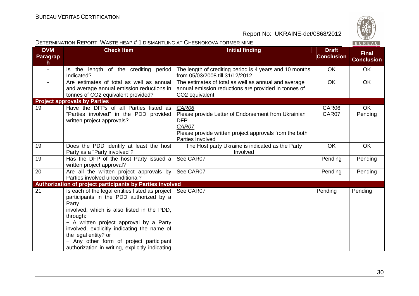

|                                               | DETERMINATION REPORT: WASTE HEAP # 1 DISMANTLING AT CHESNOKOVA FORMER MINE                                                                                                                                                                                                                                                                                                    |                                                                                                                                                                   |                                   | BUREAU                            |
|-----------------------------------------------|-------------------------------------------------------------------------------------------------------------------------------------------------------------------------------------------------------------------------------------------------------------------------------------------------------------------------------------------------------------------------------|-------------------------------------------------------------------------------------------------------------------------------------------------------------------|-----------------------------------|-----------------------------------|
| <b>DVM</b><br><b>Paragrap</b><br>$\mathsf{h}$ | <b>Check Item</b>                                                                                                                                                                                                                                                                                                                                                             | <b>Initial finding</b>                                                                                                                                            | <b>Draft</b><br><b>Conclusion</b> | <b>Final</b><br><b>Conclusion</b> |
| $\blacksquare$                                | Is the length of the crediting period<br>Indicated?                                                                                                                                                                                                                                                                                                                           | The length of crediting period is 4 years and 10 months<br>from 05/03/2008 till 31/12/2012                                                                        | <b>OK</b>                         | <b>OK</b>                         |
| $\blacksquare$                                | Are estimates of total as well as annual<br>and average annual emission reductions in<br>tonnes of CO2 equivalent provided?                                                                                                                                                                                                                                                   | The estimates of total as well as annual and average<br>annual emission reductions are provided in tonnes of<br>CO <sub>2</sub> equivalent                        | <b>OK</b>                         | <b>OK</b>                         |
|                                               | <b>Project approvals by Parties</b>                                                                                                                                                                                                                                                                                                                                           |                                                                                                                                                                   |                                   |                                   |
| 19                                            | Have the DFPs of all Parties listed as<br>"Parties involved" in the PDD provided<br>written project approvals?                                                                                                                                                                                                                                                                | CAR06<br>Please provide Letter of Endorsement from Ukrainian<br><b>DFP</b><br>CAR07<br>Please provide written project approvals from the both<br>Parties Involved | CAR06<br>CAR07                    | OK<br>Pending                     |
| 19                                            | Does the PDD identify at least the host<br>Party as a "Party involved"?                                                                                                                                                                                                                                                                                                       | The Host party Ukraine is indicated as the Party<br>Involved                                                                                                      | <b>OK</b>                         | <b>OK</b>                         |
| 19                                            | Has the DFP of the host Party issued a<br>written project approval?                                                                                                                                                                                                                                                                                                           | See CAR07                                                                                                                                                         | Pending                           | Pending                           |
| 20                                            | Are all the written project approvals by<br>Parties involved unconditional?                                                                                                                                                                                                                                                                                                   | See CAR07                                                                                                                                                         | Pending                           | Pending                           |
|                                               | Authorization of project participants by Parties involved                                                                                                                                                                                                                                                                                                                     |                                                                                                                                                                   |                                   |                                   |
| 21                                            | Is each of the legal entities listed as project<br>participants in the PDD authorized by a<br>Party<br>involved, which is also listed in the PDD,<br>through:<br>- A written project approval by a Party<br>involved, explicitly indicating the name of<br>the legal entity? or<br>- Any other form of project participant<br>authorization in writing, explicitly indicating | See CAR07                                                                                                                                                         | Pending                           | Pending                           |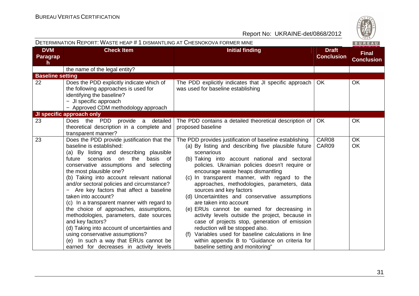|                              | DETERMINATION REPORT: WASTE HEAP # 1 DISMANTLING AT CHESNOKOVA FORMER MINE                                                                                                                                                                                                                                                                                                                                                                                                                                                                                                                                                                                                                                                           |                                                                                                                                                                                                                                                                                                                                                                                                                                                                                                                                                                                                                                                                                                                                                                                                                   |                                   | BUREAU                            |
|------------------------------|--------------------------------------------------------------------------------------------------------------------------------------------------------------------------------------------------------------------------------------------------------------------------------------------------------------------------------------------------------------------------------------------------------------------------------------------------------------------------------------------------------------------------------------------------------------------------------------------------------------------------------------------------------------------------------------------------------------------------------------|-------------------------------------------------------------------------------------------------------------------------------------------------------------------------------------------------------------------------------------------------------------------------------------------------------------------------------------------------------------------------------------------------------------------------------------------------------------------------------------------------------------------------------------------------------------------------------------------------------------------------------------------------------------------------------------------------------------------------------------------------------------------------------------------------------------------|-----------------------------------|-----------------------------------|
| <b>DVM</b><br>Paragrap<br>h. | <b>Check Item</b>                                                                                                                                                                                                                                                                                                                                                                                                                                                                                                                                                                                                                                                                                                                    | <b>Initial finding</b>                                                                                                                                                                                                                                                                                                                                                                                                                                                                                                                                                                                                                                                                                                                                                                                            | <b>Draft</b><br><b>Conclusion</b> | <b>Final</b><br><b>Conclusion</b> |
|                              | the name of the legal entity?                                                                                                                                                                                                                                                                                                                                                                                                                                                                                                                                                                                                                                                                                                        |                                                                                                                                                                                                                                                                                                                                                                                                                                                                                                                                                                                                                                                                                                                                                                                                                   |                                   |                                   |
| <b>Baseline setting</b>      |                                                                                                                                                                                                                                                                                                                                                                                                                                                                                                                                                                                                                                                                                                                                      |                                                                                                                                                                                                                                                                                                                                                                                                                                                                                                                                                                                                                                                                                                                                                                                                                   |                                   |                                   |
| 22                           | Does the PDD explicitly indicate which of<br>the following approaches is used for<br>identifying the baseline?<br>- JI specific approach<br>- Approved CDM methodology approach                                                                                                                                                                                                                                                                                                                                                                                                                                                                                                                                                      | The PDD explicitly indicates that JI specific approach<br>was used for baseline establishing                                                                                                                                                                                                                                                                                                                                                                                                                                                                                                                                                                                                                                                                                                                      | OK.                               | <b>OK</b>                         |
|                              | JI specific approach only                                                                                                                                                                                                                                                                                                                                                                                                                                                                                                                                                                                                                                                                                                            |                                                                                                                                                                                                                                                                                                                                                                                                                                                                                                                                                                                                                                                                                                                                                                                                                   |                                   |                                   |
| 23                           | Does the PDD<br>provide a detailed<br>theoretical description in a complete and<br>transparent manner?                                                                                                                                                                                                                                                                                                                                                                                                                                                                                                                                                                                                                               | The PDD contains a detailed theoretical description of<br>proposed baseline                                                                                                                                                                                                                                                                                                                                                                                                                                                                                                                                                                                                                                                                                                                                       | <b>OK</b>                         | OK                                |
| 23                           | Does the PDD provide justification that the<br>baseline is established:<br>(a) By listing and describing plausible<br>the<br>scenarios<br>basis<br>of<br>future<br>on<br>conservative assumptions and selecting<br>the most plausible one?<br>(b) Taking into account relevant national<br>and/or sectoral policies and circumstance?<br>Are key factors that affect a baseline<br>taken into account?<br>(c) In a transparent manner with regard to<br>the choice of approaches, assumptions,<br>methodologies, parameters, date sources<br>and key factors?<br>(d) Taking into account of uncertainties and<br>using conservative assumptions?<br>(e) In such a way that ERUs cannot be<br>earned for decreases in activity levels | The PDD provides justification of baseline establishing<br>(a) By listing and describing five plausible future<br>scenarious<br>(b) Taking into account national and sectoral<br>policies. Ukrainian policies doesn't require or<br>encourage waste heaps dismantling<br>(c) In transparent manner, with regard to the<br>approaches, methodologies, parameters, data<br>sources and key factors<br>(d) Uncertaintites and conservative assumptions<br>are taken into account<br>(e) ERUs cannot be earned for decreasing in<br>activity levels outside the project, because in<br>case of projects stop, generation of emission<br>reduction will be stopped also.<br>(f) Variables used for baseline calculations in line<br>within appendix B to "Guidance on criteria for<br>baseline setting and monitoring" | CAR08<br>CAR09                    | <b>OK</b><br>OK                   |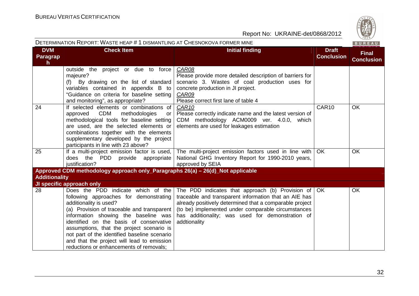

|                                     | DETERMINATION REPORT: WASTE HEAP # 1 DISMANTLING AT CHESNOKOVA FORMER MINE                                                                                                                                                                                                                                                                                                                                                    |                                                                                                                                                                                                                                                                                                                  |                                   | BUREAU                            |
|-------------------------------------|-------------------------------------------------------------------------------------------------------------------------------------------------------------------------------------------------------------------------------------------------------------------------------------------------------------------------------------------------------------------------------------------------------------------------------|------------------------------------------------------------------------------------------------------------------------------------------------------------------------------------------------------------------------------------------------------------------------------------------------------------------|-----------------------------------|-----------------------------------|
| <b>DVM</b><br><b>Paragrap</b><br>h. | <b>Check Item</b>                                                                                                                                                                                                                                                                                                                                                                                                             | <b>Initial finding</b>                                                                                                                                                                                                                                                                                           | <b>Draft</b><br><b>Conclusion</b> | <b>Final</b><br><b>Conclusion</b> |
|                                     | outside the project or due to force<br>majeure?<br>(f) By drawing on the list of standard<br>variables contained in appendix B to<br>"Guidance on criteria for baseline setting<br>and monitoring", as appropriate?                                                                                                                                                                                                           | CAR08<br>Please provide more detailed description of barriers for<br>scenario 3. Wastes of coal production uses for<br>concrete production in JI project.<br>CAR09<br>Please correct first lane of table 4                                                                                                       |                                   |                                   |
| 24                                  | If selected elements or combinations of<br><b>CDM</b><br>methodologies<br>approved<br><b>or</b><br>methodological tools for baseline setting<br>are used, are the selected elements or<br>combinations together with the elements<br>supplementary developed by the project<br>participants in line with 23 above?                                                                                                            | CAR <sub>10</sub><br>Please correctly indicate name and the latest version of<br>CDM methodology ACM0009 ver. 4.0.0, which<br>elements are used for leakages estimation                                                                                                                                          | CAR10                             | OK                                |
| 25                                  | If a multi-project emission factor is used,<br>PDD provide appropriate<br>does the<br>justification?                                                                                                                                                                                                                                                                                                                          | The multi-project emission factors used in line with<br>National GHG Inventory Report for 1990-2010 years,<br>approved by SEIA                                                                                                                                                                                   | <b>OK</b>                         | OK                                |
|                                     | Approved CDM methodology approach only_Paragraphs 26(a) - 26(d)_Not applicable                                                                                                                                                                                                                                                                                                                                                |                                                                                                                                                                                                                                                                                                                  |                                   |                                   |
| <b>Additionality</b>                |                                                                                                                                                                                                                                                                                                                                                                                                                               |                                                                                                                                                                                                                                                                                                                  |                                   |                                   |
|                                     | JI specific approach only                                                                                                                                                                                                                                                                                                                                                                                                     |                                                                                                                                                                                                                                                                                                                  |                                   |                                   |
| 28                                  | Does the PDD indicate which of the<br>following approaches for demonstrating<br>additionality is used?<br>(a) Provision of traceable and transparent<br>information showing the baseline was<br>identified on the basis of conservative<br>assumptions, that the project scenario is<br>not part of the identified baseline scenario<br>and that the project will lead to emission<br>reductions or enhancements of removals; | The PDD indicates that approach (b) Provision of $\overline{O}$ OK<br>traceable and transparent information that an AIE has<br>already positively determined that a comparable project<br>(to be) implemented under comparable circumstances<br>has additionality; was used for demonstration of<br>addtionality |                                   | <b>OK</b>                         |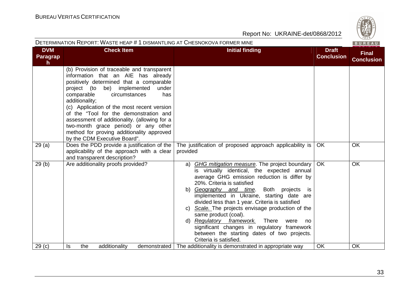|                              | DETERMINATION REPORT: WASTE HEAP # 1 DISMANTLING AT CHESNOKOVA FORMER MINE                                                                                                                                                                                                                                                                                                                                                                                                                   |                                                                                                                                                                                                                                                                                                                                                                                                                                                                                                                                                                                         |                                   | BUREAU                            |
|------------------------------|----------------------------------------------------------------------------------------------------------------------------------------------------------------------------------------------------------------------------------------------------------------------------------------------------------------------------------------------------------------------------------------------------------------------------------------------------------------------------------------------|-----------------------------------------------------------------------------------------------------------------------------------------------------------------------------------------------------------------------------------------------------------------------------------------------------------------------------------------------------------------------------------------------------------------------------------------------------------------------------------------------------------------------------------------------------------------------------------------|-----------------------------------|-----------------------------------|
| <b>DVM</b><br>Paragrap<br>h. | <b>Check Item</b>                                                                                                                                                                                                                                                                                                                                                                                                                                                                            | <b>Initial finding</b>                                                                                                                                                                                                                                                                                                                                                                                                                                                                                                                                                                  | <b>Draft</b><br><b>Conclusion</b> | <b>Final</b><br><b>Conclusion</b> |
|                              | (b) Provision of traceable and transparent<br>information that an AIE has already<br>positively determined that a comparable<br>be) implemented<br>project (to<br>under<br>comparable<br>circumstances<br>has<br>additionality;<br>(c) Application of the most recent version<br>of the "Tool for the demonstration and<br>assessment of additionality. (allowing for a<br>two-month grace period) or any other<br>method for proving additionality approved<br>by the CDM Executive Board". |                                                                                                                                                                                                                                                                                                                                                                                                                                                                                                                                                                                         |                                   |                                   |
| 29(a)                        | Does the PDD provide a justification of the $ $<br>applicability of the approach with a clear<br>and transparent description?                                                                                                                                                                                                                                                                                                                                                                | The justification of proposed approach applicability is<br>provided                                                                                                                                                                                                                                                                                                                                                                                                                                                                                                                     | <b>OK</b>                         | OK                                |
| 29(b)                        | Are additionality proofs provided?                                                                                                                                                                                                                                                                                                                                                                                                                                                           | a) GHG mitigation measure. The project boundary<br>is virtually identical, the expected annual<br>average GHG emission reduction is differ by<br>20%. Criteria is satisfied<br>b) Geography and time.<br>Both<br>projects<br>is<br>implemented in Ukraine, starting date are<br>divided less than 1 year. Criteria is satisfied<br>Scale. The projects envisage production of the<br>C)<br>same product (coal).<br>d) Regulatory framework. There<br>were<br>no<br>significant changes in regulatory framework<br>between the starting dates of two projects.<br>Criteria is satisfied. | OK                                | OK                                |
| 29 <sub>(c)</sub>            | the<br>additionality<br>demonstrated<br>Is                                                                                                                                                                                                                                                                                                                                                                                                                                                   | The additionality is demonstrated in appropriate way                                                                                                                                                                                                                                                                                                                                                                                                                                                                                                                                    | <b>OK</b>                         | <b>OK</b>                         |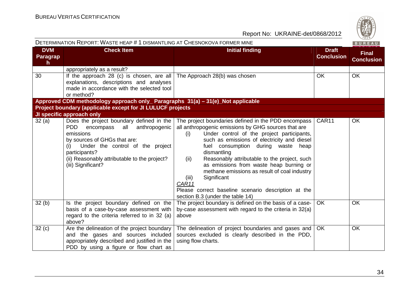| S       |
|---------|
|         |
| ۵<br>۰. |
| 828     |

|                                        | DETERMINATION REPORT: WASTE HEAP # 1 DISMANTLING AT CHESNOKOVA FORMER MINE                                                                                                                                                                                       |                                                                                                                                                                                                                                                                                                                                                                                                                                                                                                                                                      |                                   | BUREAU                            |
|----------------------------------------|------------------------------------------------------------------------------------------------------------------------------------------------------------------------------------------------------------------------------------------------------------------|------------------------------------------------------------------------------------------------------------------------------------------------------------------------------------------------------------------------------------------------------------------------------------------------------------------------------------------------------------------------------------------------------------------------------------------------------------------------------------------------------------------------------------------------------|-----------------------------------|-----------------------------------|
| <b>DVM</b><br>Paragrap<br>$\mathsf{h}$ | <b>Check Item</b>                                                                                                                                                                                                                                                | <b>Initial finding</b>                                                                                                                                                                                                                                                                                                                                                                                                                                                                                                                               | <b>Draft</b><br><b>Conclusion</b> | <b>Final</b><br><b>Conclusion</b> |
|                                        | appropriately as a result?                                                                                                                                                                                                                                       |                                                                                                                                                                                                                                                                                                                                                                                                                                                                                                                                                      |                                   |                                   |
| 30                                     | If the approach 28 (c) is chosen, are all<br>explanations, descriptions and analyses<br>made in accordance with the selected tool<br>or method?                                                                                                                  | The Approach 28(b) was chosen                                                                                                                                                                                                                                                                                                                                                                                                                                                                                                                        | OK                                | <b>OK</b>                         |
|                                        | Approved CDM methodology approach only_ Paragraphs 31(a) - 31(e)_Not applicable                                                                                                                                                                                  |                                                                                                                                                                                                                                                                                                                                                                                                                                                                                                                                                      |                                   |                                   |
|                                        | Project boundary (applicable except for JI LULUCF projects                                                                                                                                                                                                       |                                                                                                                                                                                                                                                                                                                                                                                                                                                                                                                                                      |                                   |                                   |
|                                        | JI specific approach only                                                                                                                                                                                                                                        |                                                                                                                                                                                                                                                                                                                                                                                                                                                                                                                                                      |                                   |                                   |
| 32(a)                                  | Does the project boundary defined in the<br>PDD<br>all anthropogenic<br>encompass<br>emissions<br>by sources of GHGs that are:<br>Under the control of the project<br>(i)<br>participants?<br>(ii) Reasonably attributable to the project?<br>(iii) Significant? | The project boundaries defined in the PDD encompass  <br>all anthropogenic emissions by GHG sources that are<br>Under control of the project participants,<br>(i)<br>such as emissions of electricity and diesel<br>fuel consumption during waste heap<br>dismantling<br>Reasonably attributable to the project, such<br>(ii)<br>as emissions from waste heap burning or<br>methane emissions as result of coal industry<br>Significant<br>(iii)<br>CAR11<br>Please correct baseline scenario description at the<br>section B.3 (under the table 14) | CAR11                             | <b>OK</b>                         |
| 32(b)                                  | Is the project boundary defined on the<br>basis of a case-by-case assessment with<br>regard to the criteria referred to in 32 (a)<br>above?                                                                                                                      | The project boundary is defined on the basis of a case-<br>by-case assessment with regard to the criteria in 32(a)<br>above                                                                                                                                                                                                                                                                                                                                                                                                                          | OK.                               | OK                                |
| 32(c)                                  | Are the delineation of the project boundary<br>and the gases and sources included<br>appropriately described and justified in the<br>PDD by using a figure or flow chart as                                                                                      | The delineation of project boundaries and gases and<br>sources excluded is clearly described in the PDD,<br>using flow charts.                                                                                                                                                                                                                                                                                                                                                                                                                       | <b>OK</b>                         | <b>OK</b>                         |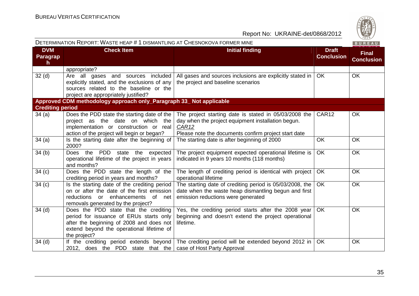| DETERMINATION REPORT: WASTE HEAP # 1 DISMANTLING AT CHESNOKOVA FORMER MINE |                                                                                                                                                                                           |                                                                                                                                                                                          | BUREAU                            |                                   |
|----------------------------------------------------------------------------|-------------------------------------------------------------------------------------------------------------------------------------------------------------------------------------------|------------------------------------------------------------------------------------------------------------------------------------------------------------------------------------------|-----------------------------------|-----------------------------------|
| <b>DVM</b><br>Paragrap<br>$\mathsf{h}$                                     | <b>Check Item</b>                                                                                                                                                                         | <b>Initial finding</b>                                                                                                                                                                   | <b>Draft</b><br><b>Conclusion</b> | <b>Final</b><br><b>Conclusion</b> |
|                                                                            | appropriate?                                                                                                                                                                              |                                                                                                                                                                                          |                                   |                                   |
| 32 <sub>(d)</sub>                                                          | Are all gases and sources included<br>explicitly stated, and the exclusions of any<br>sources related to the baseline or the<br>project are appropriately justified?                      | All gases and sources inclusions are explicitly stated in  <br>the project and baseline scenarios                                                                                        | <b>OK</b>                         | <b>OK</b>                         |
|                                                                            | Approved CDM methodology approach only_Paragraph 33_ Not applicable                                                                                                                       |                                                                                                                                                                                          |                                   |                                   |
| <b>Crediting period</b>                                                    |                                                                                                                                                                                           |                                                                                                                                                                                          |                                   |                                   |
| 34(a)                                                                      | Does the PDD state the starting date of the<br>project as the date on which the<br>implementation or construction or real<br>action of the project will begin or began?                   | The project starting date is stated in 05/03/2008 the<br>day when the project equipment installation begun.<br>CAR <sub>12</sub><br>Please note the documents confirm project start date | CAR <sub>12</sub>                 | <b>OK</b>                         |
| 34(a)                                                                      | Is the starting date after the beginning of<br>2000?                                                                                                                                      | The starting date is after beginning of 2000                                                                                                                                             | <b>OK</b>                         | <b>OK</b>                         |
| 34(b)                                                                      | Does the PDD state the expected<br>operational lifetime of the project in years<br>and months?                                                                                            | The project equipment expected operational lifetime is<br>indicated in 9 years 10 months (118 months)                                                                                    | <b>OK</b>                         | <b>OK</b>                         |
| 34(c)                                                                      | Does the PDD state the length of the<br>crediting period in years and months?                                                                                                             | The length of crediting period is identical with project<br>operational lifetime                                                                                                         | <b>OK</b>                         | <b>OK</b>                         |
| 34(c)                                                                      | Is the starting date of the crediting period<br>on or after the date of the first emission<br>reductions or enhancements of<br>net<br>removals generated by the project?                  | The starting date of crediting period is 05/03/2008, the<br>date when the waste heap dismantling begun and first<br>emission reductions were generated                                   | OK                                | OK                                |
| 34(d)                                                                      | Does the PDD state that the crediting<br>period for issuance of ERUs starts only<br>after the beginning of 2008 and does not<br>extend beyond the operational lifetime of<br>the project? | Yes, the crediting period starts after the 2008 year<br>beginning and doesn't extend the project operational<br>lifetime.                                                                | <b>OK</b>                         | <b>OK</b>                         |
| $34$ (d)                                                                   | 2012, does the PDD state that the case of Host Party Approval                                                                                                                             | If the crediting period extends beyond The crediting period will be extended beyond 2012 in                                                                                              | <b>OK</b>                         | OK                                |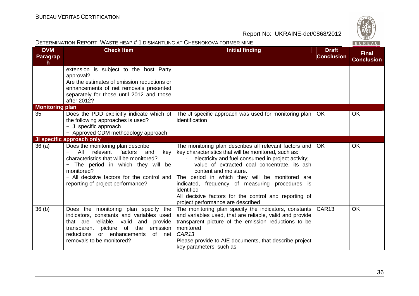| S   |
|-----|
| Q,  |
|     |
| 828 |

| DETERMINATION REPORT: WASTE HEAP # 1 DISMANTLING AT CHESNOKOVA FORMER MINE |                                                                                                                                                                                                                                                                |                                                                                                                                                                                                                                                                                                                                                                                                                                                                | BUREAU                            |                                   |
|----------------------------------------------------------------------------|----------------------------------------------------------------------------------------------------------------------------------------------------------------------------------------------------------------------------------------------------------------|----------------------------------------------------------------------------------------------------------------------------------------------------------------------------------------------------------------------------------------------------------------------------------------------------------------------------------------------------------------------------------------------------------------------------------------------------------------|-----------------------------------|-----------------------------------|
| <b>DVM</b><br><b>Paragrap</b><br>$\mathsf{h}$                              | <b>Check Item</b>                                                                                                                                                                                                                                              | <b>Initial finding</b>                                                                                                                                                                                                                                                                                                                                                                                                                                         | <b>Draft</b><br><b>Conclusion</b> | <b>Final</b><br><b>Conclusion</b> |
|                                                                            | extension is subject to the host Party<br>approval?<br>Are the estimates of emission reductions or<br>enhancements of net removals presented<br>separately for those until 2012 and those<br>after 2012?                                                       |                                                                                                                                                                                                                                                                                                                                                                                                                                                                |                                   |                                   |
| <b>Monitoring plan</b><br>35                                               | Does the PDD explicitly indicate which of<br>the following approaches is used?<br>- JI specific approach<br>- Approved CDM methodology approach                                                                                                                | The JI specific approach was used for monitoring plan  <br>identification                                                                                                                                                                                                                                                                                                                                                                                      | <b>OK</b>                         | <b>OK</b>                         |
|                                                                            | JI specific approach only                                                                                                                                                                                                                                      |                                                                                                                                                                                                                                                                                                                                                                                                                                                                |                                   |                                   |
| 36(a)                                                                      | Does the monitoring plan describe:<br>All<br>relevant<br>factors<br>and<br>key<br>characteristics that will be monitored?<br>The period in which they will be<br>monitored?<br>- All decisive factors for the control and<br>reporting of project performance? | The monitoring plan describes all relevant factors and<br>key characteristics that will be monitored, such as:<br>electricity and fuel consumed in project activity;<br>value of extracted coal concentrate, its ash<br>content and moisture.<br>The period in which they will be monitored are<br>indicated, frequency of measuring procedures is<br>identified<br>All decisive factors for the control and reporting of<br>project performance are described | <b>OK</b>                         | OK                                |
| 36(b)                                                                      | Does the monitoring plan specify the<br>indicators, constants and variables used<br>that are reliable, valid<br>and provide<br>emission<br>transparent picture of the<br>reductions or enhancements<br>of net<br>removals to be monitored?                     | The monitoring plan specify the indicators, constants<br>and variables used, that are reliable, valid and provide<br>transparent picture of the emission reductions to be<br>monitored<br>CAR <sub>13</sub><br>Please provide to AIE documents, that describe project<br>key parameters, such as                                                                                                                                                               | CAR <sub>13</sub>                 | <b>OK</b>                         |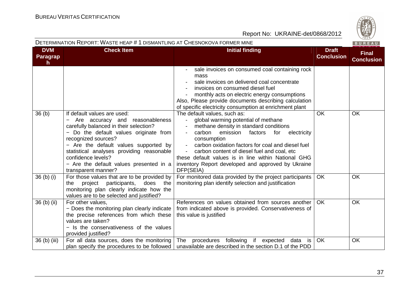### DETERMINATION REPORT: WASTE HEAP # <sup>1</sup> DISMANTLING AT CHESNOKOVA FORMER MINE

| <b>DVM</b><br><b>Paragrap</b><br>$\mathsf{h}$ | <b>Check Item</b>                                                                                                                                                                                                                                                                                                                                                                   | <b>Initial finding</b>                                                                                                                                                                                                                                                                                                                                                                                            | <b>Draft</b><br><b>Conclusion</b> | <b>Final</b><br><b>Conclusion</b> |
|-----------------------------------------------|-------------------------------------------------------------------------------------------------------------------------------------------------------------------------------------------------------------------------------------------------------------------------------------------------------------------------------------------------------------------------------------|-------------------------------------------------------------------------------------------------------------------------------------------------------------------------------------------------------------------------------------------------------------------------------------------------------------------------------------------------------------------------------------------------------------------|-----------------------------------|-----------------------------------|
|                                               |                                                                                                                                                                                                                                                                                                                                                                                     | sale invoices on consumed coal containing rock<br>mass<br>sale invoices on delivered coal concentrate<br>invoices on consumed diesel fuel<br>monthly acts on electric energy consumptions<br>Also, Please provide documents describing calculation<br>of specific electricity consumption at enrichment plant                                                                                                     |                                   |                                   |
| 36 <sub>(b)</sub>                             | If default values are used:<br>Are accuracy and reasonableness<br>$\overline{\phantom{0}}$<br>carefully balanced in their selection?<br>- Do the default values originate from<br>recognized sources?<br>- Are the default values supported by<br>statistical analyses providing reasonable<br>confidence levels?<br>- Are the default values presented in a<br>transparent manner? | The default values, such as:<br>global warming potential of methane<br>methane density in standard conditions<br>carbon<br>emission<br>factors<br>for<br>electricity<br>consumption<br>carbon oxidation factors for coal and diesel fuel<br>carbon content of diesel fuel and coal, etc<br>these default values is in line within National GHG<br>inventory Report developed and approved by Ukraine<br>DFP(SEIA) | <b>OK</b>                         | OK                                |
| $36$ (b) (i)                                  | For those values that are to be provided by<br>project<br>participants,<br>does<br>the<br>the<br>monitoring plan clearly indicate how the<br>values are to be selected and justified?                                                                                                                                                                                               | For monitored data provided by the project participants<br>monitoring plan identify selection and justification                                                                                                                                                                                                                                                                                                   | <b>OK</b>                         | <b>OK</b>                         |
| $36$ (b) (ii)                                 | For other values,<br>- Does the monitoring plan clearly indicate<br>the precise references from which these<br>values are taken?<br>- Is the conservativeness of the values<br>provided justified?                                                                                                                                                                                  | References on values obtained from sources another<br>from indicated above is provided. Conservativeness of<br>this value is justified                                                                                                                                                                                                                                                                            | OK.                               | <b>OK</b>                         |
| 36 (b) (iii)                                  | For all data sources, does the monitoring<br>plan specify the procedures to be followed                                                                                                                                                                                                                                                                                             | procedures following if expected data is<br>The<br>unavailable are described in the section D.1 of the PDD                                                                                                                                                                                                                                                                                                        | <b>OK</b>                         | OK                                |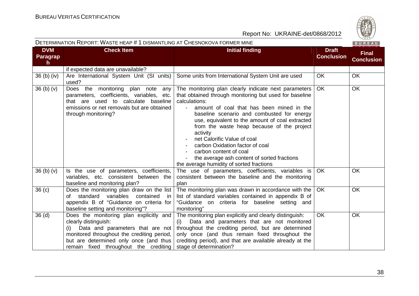

|                                               | DETERMINATION REPORT: WASTE HEAP # 1 DISMANTLING AT CHESNOKOVA FORMER MINE                                                                                                                                                                  |                                                                                                                                                                                                                                                                                                                                                                                                                                                                                                                                                  |                                   | BUREAU                            |
|-----------------------------------------------|---------------------------------------------------------------------------------------------------------------------------------------------------------------------------------------------------------------------------------------------|--------------------------------------------------------------------------------------------------------------------------------------------------------------------------------------------------------------------------------------------------------------------------------------------------------------------------------------------------------------------------------------------------------------------------------------------------------------------------------------------------------------------------------------------------|-----------------------------------|-----------------------------------|
| <b>DVM</b><br><b>Paragrap</b><br>$\mathsf{h}$ | <b>Check Item</b>                                                                                                                                                                                                                           | <b>Initial finding</b>                                                                                                                                                                                                                                                                                                                                                                                                                                                                                                                           | <b>Draft</b><br><b>Conclusion</b> | <b>Final</b><br><b>Conclusion</b> |
|                                               | if expected data are unavailable?                                                                                                                                                                                                           |                                                                                                                                                                                                                                                                                                                                                                                                                                                                                                                                                  |                                   |                                   |
| 36 (b) (iv)                                   | Are International System Unit (SI units)<br>used?                                                                                                                                                                                           | Some units from International System Unit are used                                                                                                                                                                                                                                                                                                                                                                                                                                                                                               | <b>OK</b>                         | <b>OK</b>                         |
| 36(b)(v)                                      | Does the monitoring plan note<br>any<br>parameters, coefficients, variables, etc.<br>that are used to calculate baseline<br>emissions or net removals but are obtained<br>through monitoring?                                               | The monitoring plan clearly indicate next parameters<br>that obtained through monitoring but used for baseline<br>calculations:<br>amount of coal that has been mined in the<br>$\blacksquare$<br>baseline scenario and combusted for energy<br>use, equivalent to the amount of coal extracted<br>from the waste heap because of the project<br>activity<br>net Calorific Value of coal<br>carbon Oxidation factor of coal<br>carbon content of coal<br>the average ash content of sorted fractions<br>the average humidity of sorted fractions | <b>OK</b>                         | OK                                |
| 36 <sub>(b)</sub> <sub>(v)</sub>              | Is the use of parameters, coefficients,<br>variables, etc. consistent between the<br>baseline and monitoring plan?                                                                                                                          | The use of parameters, coefficients, variables is<br>consistent between the baseline and the monitoring<br>plan                                                                                                                                                                                                                                                                                                                                                                                                                                  | <b>OK</b>                         | <b>OK</b>                         |
| 36(c)                                         | Does the monitoring plan draw on the list<br>of standard variables<br>contained<br>in<br>appendix B of "Guidance on criteria for<br>baseline setting and monitoring"?                                                                       | The monitoring plan was drawn in accordance with the<br>list of standard variables contained in appendix B of<br>"Guidance on criteria for baseline setting and<br>monitoring"                                                                                                                                                                                                                                                                                                                                                                   | <b>OK</b>                         | OK                                |
| 36 <sub>(d)</sub>                             | Does the monitoring plan explicitly and<br>clearly distinguish:<br>Data and parameters that are not<br>(i)<br>monitored throughout the crediting period,<br>but are determined only once (and thus<br>remain fixed throughout the crediting | The monitoring plan explicitly and clearly distinguish:<br>Data and parameters that are not monitored<br>(i)<br>throughout the crediting period, but are determined<br>only once (and thus remain fixed throughout the<br>crediting period), and that are available already at the<br>stage of determination?                                                                                                                                                                                                                                    | OK                                | OK                                |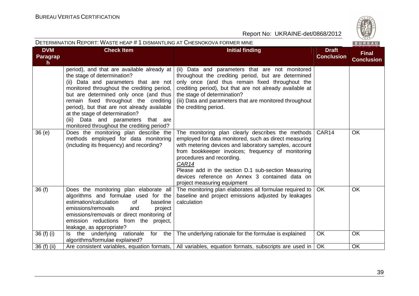

| DETERMINATION REPORT: WASTE HEAP # 1 DISMANTLING AT CHESNOKOVA FORMER MINE |                                                                                                                                                                                                                                                                                                                                                                                                                             |                                                                                                                                                                                                                                                                                                                                                                                                        |                                   | BUREAU                            |
|----------------------------------------------------------------------------|-----------------------------------------------------------------------------------------------------------------------------------------------------------------------------------------------------------------------------------------------------------------------------------------------------------------------------------------------------------------------------------------------------------------------------|--------------------------------------------------------------------------------------------------------------------------------------------------------------------------------------------------------------------------------------------------------------------------------------------------------------------------------------------------------------------------------------------------------|-----------------------------------|-----------------------------------|
| <b>DVM</b><br>Paragrap<br>$\mathsf{h}$                                     | <b>Check Item</b>                                                                                                                                                                                                                                                                                                                                                                                                           | <b>Initial finding</b>                                                                                                                                                                                                                                                                                                                                                                                 | <b>Draft</b><br><b>Conclusion</b> | <b>Final</b><br><b>Conclusion</b> |
|                                                                            | period), and that are available already at<br>the stage of determination?<br>(ii) Data and parameters that are not<br>monitored throughout the crediting period,<br>but are determined only once (and thus<br>remain fixed throughout the crediting<br>period), but that are not already available<br>at the stage of determination?<br>Data and parameters that are<br>(iii)<br>monitored throughout the crediting period? | (ii) Data and parameters that are not monitored<br>throughout the crediting period, but are determined<br>only once (and thus remain fixed throughout the<br>crediting period), but that are not already available at<br>the stage of determination?<br>(iii) Data and parameters that are monitored throughout<br>the crediting period.                                                               |                                   |                                   |
| 36(e)                                                                      | Does the monitoring plan describe the<br>methods employed for data monitoring<br>(including its frequency) and recording?                                                                                                                                                                                                                                                                                                   | The monitoring plan clearly describes the methods<br>employed for data monitored, such as direct measuring<br>with metering devices and laboratory samples, account<br>from bookkeeper invoices; frequency of monitoring<br>procedures and recording.<br>CAR14<br>Please add in the section D.1 sub-section Measuring<br>devices reference on Annex 3 contained data on<br>project measuring equipment | CAR14                             | OK                                |
| 36(f)                                                                      | Does the monitoring plan elaborate all<br>algorithms and formulae used for the<br>estimation/calculation<br>baseline<br>of<br>emissions/removals<br>and<br>project<br>emissions/removals or direct monitoring of<br>emission reductions from the project,<br>leakage, as appropriate?                                                                                                                                       | The monitoring plan elaborates all formulae required to<br>baseline and project emissions adjusted by leakages<br>calculation                                                                                                                                                                                                                                                                          | <b>OK</b>                         | <b>OK</b>                         |
| 36(f)(i)                                                                   | rationale<br>for the<br>Is the underlying<br>algorithms/formulae explained?                                                                                                                                                                                                                                                                                                                                                 | The underlying rationale for the formulae is explained                                                                                                                                                                                                                                                                                                                                                 | OK                                | OK                                |
| 36 (f) (ii)                                                                |                                                                                                                                                                                                                                                                                                                                                                                                                             | Are consistent variables, equation formats,   All variables, equation formats, subscripts are used in                                                                                                                                                                                                                                                                                                  | OK                                | <b>OK</b>                         |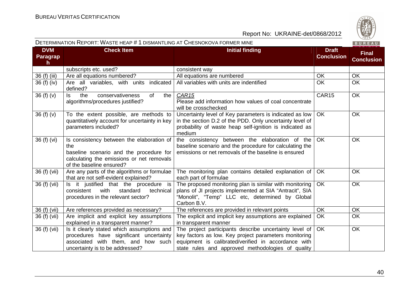

|                             | <b>DETERMINATION INEFUNT. WAS ILTIEAF # T DISMANTEING AT UITESNUNUVAT UNMEN MINE</b>                                                                                 |                                                                                                                                                                                                                             |                                   |                                   |
|-----------------------------|----------------------------------------------------------------------------------------------------------------------------------------------------------------------|-----------------------------------------------------------------------------------------------------------------------------------------------------------------------------------------------------------------------------|-----------------------------------|-----------------------------------|
| <b>DVM</b><br>Paragrap<br>h | <b>Check Item</b>                                                                                                                                                    | <b>Initial finding</b>                                                                                                                                                                                                      | <b>Draft</b><br><b>Conclusion</b> | <b>Final</b><br><b>Conclusion</b> |
|                             | subscripts etc. used?                                                                                                                                                | consistent way                                                                                                                                                                                                              |                                   |                                   |
| 36 (f) (iii)                | Are all equations numbered?                                                                                                                                          | All equations are numbered                                                                                                                                                                                                  | OK                                | OK                                |
| 36 (f) (iv)                 | indicated<br>Are all variables, with units<br>defined?                                                                                                               | All variables with units are indentified                                                                                                                                                                                    | <b>OK</b>                         | OK                                |
| 36(f)(v)                    | conservativeness<br>ls.<br>of<br>the<br>the<br>algorithms/procedures justified?                                                                                      | CAR <sub>15</sub><br>Please add information how values of coal concentrate<br>will be crosschecked                                                                                                                          | CAR15                             | OK                                |
| 36(f)(v)                    | To the extent possible, are methods to<br>quantitatively account for uncertainty in key<br>parameters included?                                                      | Uncertainty level of Key parameters is indicated as low<br>in the section D.2 of the PDD. Only uncertainty level of<br>probability of waste heap self-ignition is indicated as<br>medium                                    | <b>OK</b>                         | <b>OK</b>                         |
| 36 (f) (vi)                 | Is consistency between the elaboration of<br>the<br>baseline scenario and the procedure for<br>calculating the emissions or net removals<br>of the baseline ensured? | the consistency between the elaboration of the<br>baseline scenario and the procedure for calculating the<br>emissions or net removals of the baseline is ensured                                                           | <b>OK</b>                         | <b>OK</b>                         |
| 36 (f) (vii)                | Are any parts of the algorithms or formulae<br>that are not self-evident explained?                                                                                  | The monitoring plan contains detailed explanation of<br>each part of formulae                                                                                                                                               | OK                                | <b>OK</b>                         |
| 36 (f) (vii)                | Is it justified that the procedure is<br>consistent<br>with<br>standard<br>technical<br>procedures in the relevant sector?                                           | The proposed monitoring plan is similar with monitoring<br>plans of JI projects implemented at SIA "Antracit", SIA<br>"Monolit", "Temp" LLC etc, determined by Global<br>Carbon B.V.                                        | <b>OK</b>                         | <b>OK</b>                         |
| 36 (f) (vii)                | Are references provided as necessary?                                                                                                                                | The references are provided in relevant points                                                                                                                                                                              | OK                                | OK                                |
| 36 (f) (vii)                | Are implicit and explicit key assumptions<br>explained in a transparent manner?                                                                                      | The explicit and implicit key assumptions are explained<br>in transparent manner                                                                                                                                            | OK                                | OK                                |
| 36(f)(vii)                  | Is it clearly stated which assumptions and<br>procedures have significant uncertainty<br>associated with them, and how such<br>uncertainty is to be addressed?       | The project participants describe uncertainty level of<br>key factors as low. Key project parameters monitoring<br>equipment is calibrated/verified in accordance with<br>state rules and approved methodologies of quality | OK                                | <b>OK</b>                         |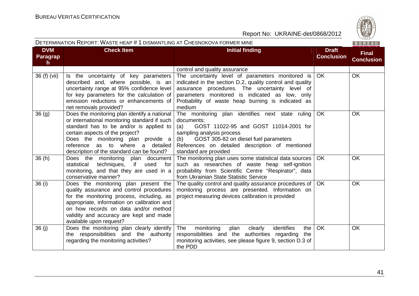

| DETERMINATION REPORT: WASTE HEAP # 1 DISMANTLING AT CHESNOKOVA FORMER MINE |                                                                                                                                                                                                                                                                                                   |                                                                                                                                                                                                                                                                                  |                                   | BUREAU                            |
|----------------------------------------------------------------------------|---------------------------------------------------------------------------------------------------------------------------------------------------------------------------------------------------------------------------------------------------------------------------------------------------|----------------------------------------------------------------------------------------------------------------------------------------------------------------------------------------------------------------------------------------------------------------------------------|-----------------------------------|-----------------------------------|
| <b>DVM</b><br><b>Paragrap</b><br>h.                                        | <b>Check Item</b>                                                                                                                                                                                                                                                                                 | <b>Initial finding</b>                                                                                                                                                                                                                                                           | <b>Draft</b><br><b>Conclusion</b> | <b>Final</b><br><b>Conclusion</b> |
|                                                                            |                                                                                                                                                                                                                                                                                                   | control and quality assurance                                                                                                                                                                                                                                                    |                                   |                                   |
| 36 (f) (vii)                                                               | Is the uncertainty of key parameters<br>described and, where possible, is an<br>uncertainty range at 95% confidence level<br>for key parameters for the calculation of<br>emission reductions or enhancements of<br>net removals provided?                                                        | The uncertainty level of parameters monitored is<br>indicated in the section D.2, quality control and quality<br>assurance procedures. The uncertainty level of<br>parameters monitored is indicated as low, only<br>Probability of waste heap burning is indicated as<br>medium | <b>OK</b>                         | OK                                |
| 36 <sub>(g)</sub>                                                          | Does the monitoring plan identify a national<br>or international monitoring standard if such<br>standard has to be and/or is applied to<br>certain aspects of the project?<br>Does the monitoring plan provide a<br>reference as to where a detailed<br>description of the standard can be found? | The monitoring plan identifies next state ruling<br>documents:<br>GOST 11022-95 and GOST 11014-2001 for<br>(a)<br>sampling analysis process<br>GOST 305-82 on diesel fuel parameters<br>(b)<br>References on detailed description of mentioned<br>standard are provided          | OK                                | OK                                |
| 36(h)                                                                      | Does the monitoring plan document<br>techniques,<br>if<br>statistical<br>used<br>for<br>monitoring, and that they are used in a<br>conservative manner?                                                                                                                                           | The monitoring plan uses some statistical data sources<br>such as researches of waste heap self-ignition<br>probability from Scientific Centre "Respirator", data<br>from Ukrainian State Statistic Service                                                                      | <b>OK</b>                         | OK                                |
| 36 (i)                                                                     | Does the monitoring plan present the<br>quality assurance and control procedures<br>for the monitoring process, including, as<br>appropriate, information on calibration and<br>on how records on data and/or method<br>validity and accuracy are kept and made<br>available upon request?        | The quality control and quality assurance procedures of<br>monitoring process are presented. Information on<br>project measuring devices calibration is provided                                                                                                                 | <b>OK</b>                         | OK                                |
| 36(j)                                                                      | Does the monitoring plan clearly identify<br>the responsibilities and the authority<br>regarding the monitoring activities?                                                                                                                                                                       | identifies<br>The<br>monitoring<br>plan<br>clearly<br>the<br>responsibilities and the authorities regarding the<br>monitoring activities, see please figure 9, section D.3 of<br>the PDD                                                                                         | OK                                | OK                                |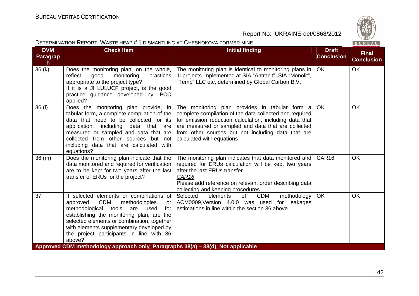|                                     | DETERMINATION REPORT: WASTE HEAP # 1 DISMANTLING AT CHESNOKOVA FORMER MINE<br>BUREAU                                                                                                                                                                                                                                             |                                                                                                                                                                                                                                                                                                                |                                   |                                   |  |
|-------------------------------------|----------------------------------------------------------------------------------------------------------------------------------------------------------------------------------------------------------------------------------------------------------------------------------------------------------------------------------|----------------------------------------------------------------------------------------------------------------------------------------------------------------------------------------------------------------------------------------------------------------------------------------------------------------|-----------------------------------|-----------------------------------|--|
| <b>DVM</b><br><b>Paragrap</b><br>h. | <b>Check Item</b>                                                                                                                                                                                                                                                                                                                | <b>Initial finding</b>                                                                                                                                                                                                                                                                                         | <b>Draft</b><br><b>Conclusion</b> | <b>Final</b><br><b>Conclusion</b> |  |
| 36(k)                               | Does the monitoring plan, on the whole,<br>reflect<br>monitoring<br>good<br>practices<br>appropriate to the project type?<br>If it is a JI LULUCF project, is the good<br>practice guidance developed by IPCC<br>applied?                                                                                                        | The monitoring plan is identical to monitoring plans in<br>JI projects implemented at SIA "Antracit", SIA "Monolit",<br>"Temp" LLC etc, determined by Global Carbon B.V.                                                                                                                                       | <b>OK</b>                         | OK                                |  |
| 36 (I)                              | Does the monitoring plan provide, in<br>tabular form, a complete compilation of the<br>data that need to be collected for its<br>application, including<br>data that are<br>measured or sampled and data that are<br>collected from other sources but not<br>including data that are calculated with<br>equations?               | The monitoring plan provides in tabular form a<br>complete compilation of the data collected and required<br>for emission reduction calculation, including data that<br>are measured or sampled and data that are collected<br>from other sources but not including data that are<br>calculated with equations | <b>OK</b>                         | OK                                |  |
| 36(m)                               | Does the monitoring plan indicate that the<br>data monitored and required for verification<br>are to be kept for two years after the last<br>transfer of ERUs for the project?                                                                                                                                                   | The monitoring plan indicates that data monitored and<br>required for ERUs calculation will be kept two years<br>after the last ERUs transfer<br>CAR <sub>16</sub><br>Please add reference on relevant order describing data<br>collecting and keeping procedures                                              | CAR <sub>16</sub>                 | OK                                |  |
| 37                                  | If selected elements or combinations of<br><b>CDM</b><br>methodologies<br>approved<br>or<br>methodological tools are<br>used<br>for<br>establishing the monitoring plan, are the<br>selected elements or combination, together<br>with elements supplementary developed by<br>the project participants in line with 36<br>above? | Selected<br>elements<br>of<br><b>CDM</b><br>methodology<br>ACM0009, Version 4.0.0 was used<br>for leakages<br>estimations in line within the section 36 above                                                                                                                                                  | <b>OK</b>                         | <b>OK</b>                         |  |
|                                     | Approved CDM methodology approach only Paragraphs 38(a) – 38(d) Not applicable                                                                                                                                                                                                                                                   |                                                                                                                                                                                                                                                                                                                |                                   |                                   |  |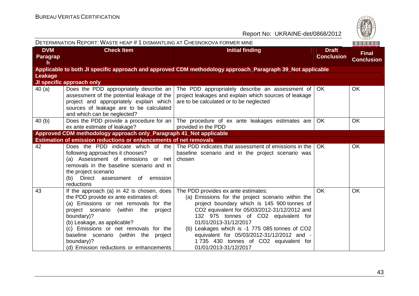| DETERMINATION REPORT: WASTE HEAP # 1 DISMANTLING AT CHESNOKOVA FORMER MINE |                                                                                                                                                                                                                                                                                                                                                                      |                                                                                                                                                                                                                                                                                                                                                                                                                            |                                   | BUREAU                            |
|----------------------------------------------------------------------------|----------------------------------------------------------------------------------------------------------------------------------------------------------------------------------------------------------------------------------------------------------------------------------------------------------------------------------------------------------------------|----------------------------------------------------------------------------------------------------------------------------------------------------------------------------------------------------------------------------------------------------------------------------------------------------------------------------------------------------------------------------------------------------------------------------|-----------------------------------|-----------------------------------|
| <b>DVM</b><br>Paragrap<br>h.                                               | <b>Check Item</b>                                                                                                                                                                                                                                                                                                                                                    | <b>Initial finding</b>                                                                                                                                                                                                                                                                                                                                                                                                     | <b>Draft</b><br><b>Conclusion</b> | <b>Final</b><br><b>Conclusion</b> |
|                                                                            |                                                                                                                                                                                                                                                                                                                                                                      | Applicable to both JI specific approach and approved CDM methodology approach_Paragraph 39_Not applicable                                                                                                                                                                                                                                                                                                                  |                                   |                                   |
| <b>Leakage</b>                                                             |                                                                                                                                                                                                                                                                                                                                                                      |                                                                                                                                                                                                                                                                                                                                                                                                                            |                                   |                                   |
|                                                                            | JI specific approach only                                                                                                                                                                                                                                                                                                                                            |                                                                                                                                                                                                                                                                                                                                                                                                                            |                                   |                                   |
| 40(a)                                                                      | Does the PDD appropriately describe an<br>assessment of the potential leakage of the<br>project and appropriately explain which<br>sources of leakage are to be calculated<br>and which can be neglected?                                                                                                                                                            | The PDD appropriately describe an assessment of<br>project leakages and explain which sources of leakage<br>are to be calculated or to be neglected                                                                                                                                                                                                                                                                        | OK.                               | <b>OK</b>                         |
| 40(b)                                                                      | ex ante estimate of leakage?                                                                                                                                                                                                                                                                                                                                         | Does the PDD provide a procedure for an $\vert$ The procedure of ex ante leakages estimates are $\vert$<br>provided in the PDD                                                                                                                                                                                                                                                                                             | <b>OK</b>                         | <b>OK</b>                         |
| Approved CDM methodology approach only_Paragraph 41_Not applicable         |                                                                                                                                                                                                                                                                                                                                                                      |                                                                                                                                                                                                                                                                                                                                                                                                                            |                                   |                                   |
|                                                                            | <b>Estimation of emission reductions or enhancements of net removals</b>                                                                                                                                                                                                                                                                                             |                                                                                                                                                                                                                                                                                                                                                                                                                            |                                   |                                   |
| 42                                                                         | Does the PDD indicate which of the<br>following approaches it chooses?<br>(a) Assessment of emissions or net<br>removals in the baseline scenario and in<br>the project scenario<br>(b) Direct assessment of emission<br>reductions                                                                                                                                  | The PDD indicates that assessment of emissions in the<br>baseline scenario and in the project scenario was<br>chosen                                                                                                                                                                                                                                                                                                       | OK.                               | <b>OK</b>                         |
| 43                                                                         | If the approach (a) in 42 is chosen, does<br>the PDD provide ex ante estimates of:<br>(a) Emissions or net removals for the<br>project scenario<br>(within<br>the<br>project<br>boundary)?<br>(b) Leakage, as applicable?<br>(c) Emissions or net removals for the<br>baseline scenario (within the project<br>boundary)?<br>(d) Emission reductions or enhancements | The PDD provides ex ante estimates:<br>(a) Emissions for the project scenario within the<br>project boundary which is 145 900 tonnes of<br>CO2 equivalent for 05/03/2012-31/12/2012 and<br>132 975 tonnes of CO2 equivalent for<br>01/01/2013-31/12/2017<br>(b) Leakages which is -1 775 085 tonnes of CO2<br>equivalent for 05/03/2012-31/12/2012 and -<br>1735 430 tonnes of CO2 equivalent for<br>01/01/2013-31/12/2017 | <b>OK</b>                         | <b>OK</b>                         |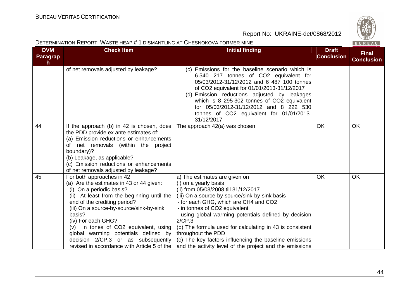|                              | DETERMINATION REPORT: WASTE HEAP # 1 DISMANTLING AT CHESNOKOVA FORMER MINE                                                                                                                                                                                                                                                                                                                                                           |                                                                                                                                                                                                                                                                                                                                                                                                                                                                                                      |                                   | BUREAU                            |
|------------------------------|--------------------------------------------------------------------------------------------------------------------------------------------------------------------------------------------------------------------------------------------------------------------------------------------------------------------------------------------------------------------------------------------------------------------------------------|------------------------------------------------------------------------------------------------------------------------------------------------------------------------------------------------------------------------------------------------------------------------------------------------------------------------------------------------------------------------------------------------------------------------------------------------------------------------------------------------------|-----------------------------------|-----------------------------------|
| <b>DVM</b><br>Paragrap<br>h. | <b>Check Item</b>                                                                                                                                                                                                                                                                                                                                                                                                                    | <b>Initial finding</b>                                                                                                                                                                                                                                                                                                                                                                                                                                                                               | <b>Draft</b><br><b>Conclusion</b> | <b>Final</b><br><b>Conclusion</b> |
|                              | of net removals adjusted by leakage?                                                                                                                                                                                                                                                                                                                                                                                                 | (c) Emissions for the baseline scenario which is<br>6 540 217 tonnes of CO2 equivalent for<br>05/03/2012-31/12/2012 and 6 487 100 tonnes<br>of CO2 equivalent for 01/01/2013-31/12/2017<br>(d) Emission reductions adjusted by leakages<br>which is 8 295 302 tonnes of CO2 equivalent<br>for 05/03/2012-31/12/2012 and 8 222 530<br>tonnes of CO2 equivalent for 01/01/2013-<br>31/12/2017                                                                                                          |                                   |                                   |
| 44                           | If the approach (b) in 42 is chosen, does<br>the PDD provide ex ante estimates of:<br>(a) Emission reductions or enhancements<br>of net removals (within the project<br>boundary)?<br>(b) Leakage, as applicable?<br>(c) Emission reductions or enhancements<br>of net removals adjusted by leakage?                                                                                                                                 | The approach 42(a) was chosen                                                                                                                                                                                                                                                                                                                                                                                                                                                                        | <b>OK</b>                         | OK                                |
| 45                           | For both approaches in 42<br>(a) Are the estimates in 43 or 44 given:<br>(i) On a periodic basis?<br>(ii) At least from the beginning until the<br>end of the crediting period?<br>(iii) On a source-by-source/sink-by-sink<br>basis?<br>(iv) For each GHG?<br>In tones of CO2 equivalent, using<br>(v)<br>global warming potentials defined by<br>decision 2/CP.3 or as subsequently<br>revised in accordance with Article 5 of the | a) The estimates are given on<br>(i) on a yearly basis<br>(ii) from 05/03/2008 till 31/12/2017<br>(iii) On a source-by-source/sink-by-sink basis<br>- for each GHG, which are CH4 and CO2<br>- in tonnes of CO2 equivalent<br>- using global warming potentials defined by decision<br>2/CP.3<br>(b) The formula used for calculating in 43 is consistent<br>throughout the PDD<br>(c) The key factors influencing the baseline emissions<br>and the activity level of the project and the emissions | <b>OK</b>                         | OK                                |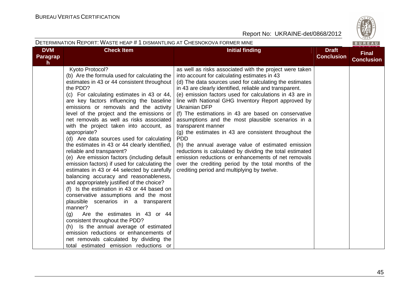

|                             | DETERMINATION REPORT: WASTE HEAP # 1 DISMANTLING AT CHESNOKOVA FORMER MINE                                                                                                                                                                                                                                                                                                                                                                                                                                                                                                                                                                                                                                                                                                                                                                                                                                                                                                                                                                                                                                                                                                        |                                                                                                                                                                                                                                                                                                                                                                                                                                                                                                                                                                                                                                                                                                                                                                                                                                                                  |                                   | BUREAU                            |
|-----------------------------|-----------------------------------------------------------------------------------------------------------------------------------------------------------------------------------------------------------------------------------------------------------------------------------------------------------------------------------------------------------------------------------------------------------------------------------------------------------------------------------------------------------------------------------------------------------------------------------------------------------------------------------------------------------------------------------------------------------------------------------------------------------------------------------------------------------------------------------------------------------------------------------------------------------------------------------------------------------------------------------------------------------------------------------------------------------------------------------------------------------------------------------------------------------------------------------|------------------------------------------------------------------------------------------------------------------------------------------------------------------------------------------------------------------------------------------------------------------------------------------------------------------------------------------------------------------------------------------------------------------------------------------------------------------------------------------------------------------------------------------------------------------------------------------------------------------------------------------------------------------------------------------------------------------------------------------------------------------------------------------------------------------------------------------------------------------|-----------------------------------|-----------------------------------|
| <b>DVM</b><br>Paragrap<br>h | <b>Check Item</b>                                                                                                                                                                                                                                                                                                                                                                                                                                                                                                                                                                                                                                                                                                                                                                                                                                                                                                                                                                                                                                                                                                                                                                 | <b>Initial finding</b>                                                                                                                                                                                                                                                                                                                                                                                                                                                                                                                                                                                                                                                                                                                                                                                                                                           | <b>Draft</b><br><b>Conclusion</b> | <b>Final</b><br><b>Conclusion</b> |
|                             | Kyoto Protocol?<br>(b) Are the formula used for calculating the<br>estimates in 43 or 44 consistent throughout<br>the PDD?<br>(c) For calculating estimates in 43 or 44,<br>are key factors influencing the baseline<br>emissions or removals and the activity<br>level of the project and the emissions or<br>net removals as well as risks associated<br>with the project taken into account, as<br>appropriate?<br>(d) Are data sources used for calculating<br>the estimates in 43 or 44 clearly identified,<br>reliable and transparent?<br>(e) Are emission factors (including default<br>emission factors) if used for calculating the<br>estimates in 43 or 44 selected by carefully<br>balancing accuracy and reasonableness,<br>and appropriately justified of the choice?<br>(f) Is the estimation in 43 or 44 based on<br>conservative assumptions and the most<br>plausible scenarios in a transparent<br>manner?<br>Are the estimates in 43 or 44<br>(g)<br>consistent throughout the PDD?<br>(h) Is the annual average of estimated<br>emission reductions or enhancements of<br>net removals calculated by dividing the<br>total estimated emission reductions or | as well as risks associated with the project were taken<br>into account for calculating estimates in 43<br>(d) The data sources used for calculating the estimates<br>in 43 are clearly identified, reliable and transparent.<br>(e) emission factors used for calculations in 43 are in<br>line with National GHG Inventory Report approved by<br><b>Ukrainian DFP</b><br>(f) The estimations in 43 are based on conservative<br>assumptions and the most plausible scenarios in a<br>transparent manner<br>(g) the estimates in 43 are consistent throughout the<br><b>PDD</b><br>(h) the annual average value of estimated emission<br>reductions is calculated by dividing the total estimated<br>emission reductions or enhancements of net removals<br>over the crediting period by the total months of the<br>crediting period and multiplying by twelve. |                                   |                                   |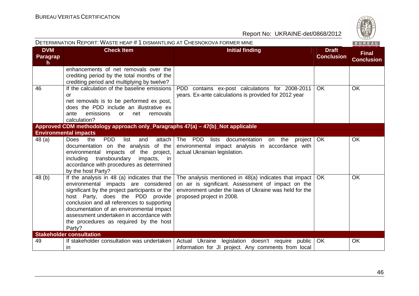|                             | DETERMINATION REPORT: WASTE HEAP # 1 DISMANTLING AT CHESNOKOVA FORMER MINE                                                                                                                                                                                                                                                                                            |                                                                                                                                                                                                    |                                   | BUREAU                            |
|-----------------------------|-----------------------------------------------------------------------------------------------------------------------------------------------------------------------------------------------------------------------------------------------------------------------------------------------------------------------------------------------------------------------|----------------------------------------------------------------------------------------------------------------------------------------------------------------------------------------------------|-----------------------------------|-----------------------------------|
| <b>DVM</b><br>Paragrap<br>h | <b>Check Item</b>                                                                                                                                                                                                                                                                                                                                                     | <b>Initial finding</b>                                                                                                                                                                             | <b>Draft</b><br><b>Conclusion</b> | <b>Final</b><br><b>Conclusion</b> |
|                             | enhancements of net removals over the<br>crediting period by the total months of the<br>crediting period and multiplying by twelve?                                                                                                                                                                                                                                   |                                                                                                                                                                                                    |                                   |                                   |
| 46                          | If the calculation of the baseline emissions<br>or<br>net removals is to be performed ex post,<br>does the PDD include an illustrative ex<br>emissions<br>net<br>removals<br>ante<br><b>or</b><br>calculation?                                                                                                                                                        | PDD contains ex-post calculations for 2008-2011<br>years. Ex-ante calculations is provided for 2012 year                                                                                           | OK                                | <b>OK</b>                         |
|                             | Approved CDM methodology approach only_Paragraphs 47(a) - 47(b)_Not applicable                                                                                                                                                                                                                                                                                        |                                                                                                                                                                                                    |                                   |                                   |
|                             | <b>Environmental impacts</b>                                                                                                                                                                                                                                                                                                                                          |                                                                                                                                                                                                    |                                   |                                   |
| 48(a)                       | <b>Does</b><br><b>PDD</b><br>list<br>the<br>and<br>attach<br>documentation on the analysis<br>of the<br>environmental impacts of the project,<br>transboundary<br>including<br>impacts, in<br>accordance with procedures as determined<br>by the host Party?                                                                                                          | The PDD<br>lists documentation<br>on the<br>project  <br>environmental impact analysis in accordance with<br>actual Ukrainian legislation.                                                         | <b>OK</b>                         | OK                                |
| 48 (b)                      | If the analysis in 48 (a) indicates that the<br>environmental impacts are considered<br>significant by the project participants or the<br>host Party, does the PDD provide<br>conclusion and all references to supporting<br>documentation of an environmental impact<br>assessment undertaken in accordance with<br>the procedures as required by the host<br>Party? | The analysis mentioned in 48(a) indicates that impact<br>on air is significant. Assessment of impact on the<br>environment under the laws of Ukraine was held for the<br>proposed project in 2008. | OK.                               | OK                                |
|                             | <b>Stakeholder consultation</b>                                                                                                                                                                                                                                                                                                                                       |                                                                                                                                                                                                    |                                   |                                   |
| 49                          | If stakeholder consultation was undertaken<br>in                                                                                                                                                                                                                                                                                                                      | Actual Ukraine legislation doesn't require public<br>information for JI project. Any comments from local                                                                                           | <b>OK</b>                         | OK                                |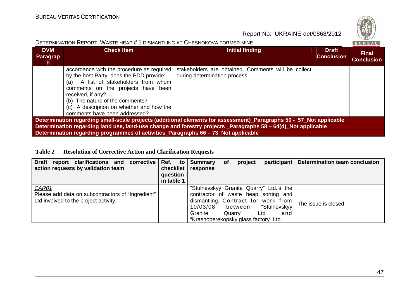| DETERMINATION REPORT: WASTE HEAP # 1 DISMANTLING AT CHESNOKOVA FORMER MINE<br>BUREAU                                |                                                                                                                                                                                                                                                                                                             |                                                                                     |                                   |                                   |  |  |  |
|---------------------------------------------------------------------------------------------------------------------|-------------------------------------------------------------------------------------------------------------------------------------------------------------------------------------------------------------------------------------------------------------------------------------------------------------|-------------------------------------------------------------------------------------|-----------------------------------|-----------------------------------|--|--|--|
| <b>DVM</b><br><b>Paragrap</b><br>h.                                                                                 | <b>Check Item</b>                                                                                                                                                                                                                                                                                           | <b>Initial finding</b>                                                              | <b>Draft</b><br><b>Conclusion</b> | <b>Final</b><br><b>Conclusion</b> |  |  |  |
|                                                                                                                     | accordance with the procedure as required<br>by the host Party, does the PDD provide:<br>A list of stakeholders from whom<br>(a)<br>comments on the projects have been<br>received, if any?<br>(b) The nature of the comments?<br>(c) A description on whether and how the<br>comments have been addressed? | stakeholders are obtained. Comments will be collect<br>during determination process |                                   |                                   |  |  |  |
| Determination regarding small-scale projects (additional elements for assessment)_Paragraphs 50 - 57_Not applicable |                                                                                                                                                                                                                                                                                                             |                                                                                     |                                   |                                   |  |  |  |
| Determination regarding land use, land-use change and forestry projects _Paragraphs 58 - 64(d)_Not applicable       |                                                                                                                                                                                                                                                                                                             |                                                                                     |                                   |                                   |  |  |  |
| Determination regarding programmes of activities_Paragraphs 66 - 73_Not applicable                                  |                                                                                                                                                                                                                                                                                                             |                                                                                     |                                   |                                   |  |  |  |

### **Table 2 Resolution of Corrective Action and Clarification Requests**

| Draft report clarifications and corrective Ref. to<br>action requests by validation team            | checklist<br>question<br>in table 1 | Summary<br>response                                          | <b>of</b> | project | participant                                                                                                                                           | Determination team conclusion |
|-----------------------------------------------------------------------------------------------------|-------------------------------------|--------------------------------------------------------------|-----------|---------|-------------------------------------------------------------------------------------------------------------------------------------------------------|-------------------------------|
| CAR01<br>Please add data on subcontractors of "Ingredient"<br>Ltd involved to the project activity. |                                     | 10/03/08<br>Granite<br>"Krasnoperekopsky glass factory" Ltd. | Quarry"   | between | "Stulnevskyy Granite Quarry" Ltd. is the<br>contractor of waste heap sorting and<br>dismantling. Contract for work from<br>"Stulnevskyy<br>Ltd<br>and | The issue is closed           |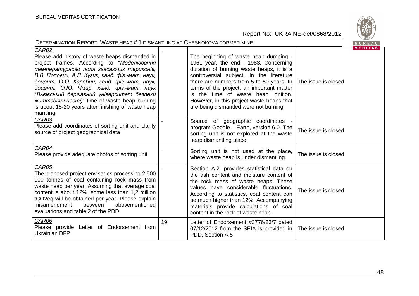

| <b>DETERMINATION REPORT: WASTE HEAP # 1 DISMANTLING AT CHESNOKOVA FORMER MINE</b><br>BUREAU                                                                                                                                                                                                                                                                                                                                                                           |    |                                                                                                                                                                                                                                                                                                                                                                                               |                     |                |  |  |
|-----------------------------------------------------------------------------------------------------------------------------------------------------------------------------------------------------------------------------------------------------------------------------------------------------------------------------------------------------------------------------------------------------------------------------------------------------------------------|----|-----------------------------------------------------------------------------------------------------------------------------------------------------------------------------------------------------------------------------------------------------------------------------------------------------------------------------------------------------------------------------------------------|---------------------|----------------|--|--|
| CAR02<br>Please add history of waste heaps dismantled in<br>project frames. According to "Моделювання<br>температурного поля згасаючих териконів,<br>В.В. Попович, А.Д. Кузик, канд. фіз.-мат. наук,<br>доцент, О.О. Карабин, канд. фіз.-мат. наук,<br>доцент, О.Ю. Чмир, канд. фіз.-мат. наук<br>(Львівський державний університет безпеки<br><i>життедіяльності)</i> " time of waste heap burning<br>is about 15-20 years after finishing of waste heap<br>mantling |    | The beginning of waste heap dumping -<br>1961 year, the end - 1983. Concerning<br>duration of burning waste heaps, it is a<br>controversial subject. In the literature<br>there are numbers from 5 to 50 years. In<br>terms of the project, an important matter<br>is the time of waste heap ignition.<br>However, in this project waste heaps that<br>are being dismantled were not burning. | The issue is closed | <b>VERITAS</b> |  |  |
| CAR03<br>Please add coordinates of sorting unit and clarify<br>source of project geographical data                                                                                                                                                                                                                                                                                                                                                                    |    | Source of geographic coordinates -<br>program Google - Earth, version 6.0. The<br>sorting unit is not explored at the waste<br>heap dismantling place.                                                                                                                                                                                                                                        | The issue is closed |                |  |  |
| CAR04<br>Please provide adequate photos of sorting unit                                                                                                                                                                                                                                                                                                                                                                                                               |    | Sorting unit is not used at the place,<br>where waste heap is under dismantling.                                                                                                                                                                                                                                                                                                              | The issue is closed |                |  |  |
| CAR05<br>The proposed project envisages processing 2 500<br>000 tonnes of coal containing rock mass from<br>waste heap per year. Assuming that average coal<br>content is about 12%, some less than 1,2 million<br>tCO2eq will be obtained per year. Please explain<br>misamendment<br>between<br>abovementioned<br>evaluations and table 2 of the PDD                                                                                                                |    | Section A.2. provides statistical data on<br>the ash content and moisture content of<br>the rock mass of waste heaps. These<br>values have considerable fluctuations.<br>According to statistics, coal content can<br>be much higher than 12%. Accompanying<br>materials provide calculations of coal<br>content in the rock of waste heap.                                                   | The issue is closed |                |  |  |
| CAR06<br>Please provide Letter of Endorsement from<br><b>Ukrainian DFP</b>                                                                                                                                                                                                                                                                                                                                                                                            | 19 | Letter of Endorsement #3776/23/7 dated<br>07/12/2012 from the SEIA is provided in<br>PDD, Section A.5                                                                                                                                                                                                                                                                                         | The issue is closed |                |  |  |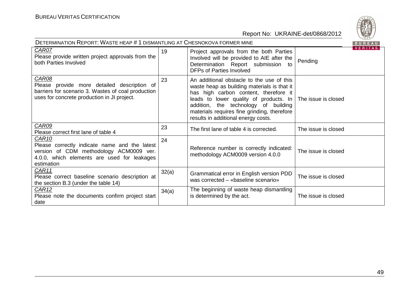

| <b>DETERMINATION REPORT: WASTE HEAP # 1 DISMANTLING AT CHESNOKOVA FORMER MINE</b><br>BUREAU |                                                                                                                                                                                                                                                                 |                     |                                                                    |  |  |  |  |
|---------------------------------------------------------------------------------------------|-----------------------------------------------------------------------------------------------------------------------------------------------------------------------------------------------------------------------------------------------------------------|---------------------|--------------------------------------------------------------------|--|--|--|--|
| 19                                                                                          | Project approvals from the both Parties<br>Involved will be provided to AIE after the<br>Determination Report submission to<br><b>DFPs of Parties Involved</b>                                                                                                  | Pending             | VERITAS                                                            |  |  |  |  |
| 23                                                                                          | An additional obstacle to the use of this<br>waste heap as building materials is that it<br>has high carbon content, therefore it<br>addition, the technology of building<br>materials requires fine grinding, therefore<br>results in additional energy costs. |                     |                                                                    |  |  |  |  |
| 23                                                                                          | The first lane of table 4 is corrected.                                                                                                                                                                                                                         | The issue is closed |                                                                    |  |  |  |  |
| 24                                                                                          | Reference number is correctly indicated:<br>methodology ACM0009 version 4.0.0                                                                                                                                                                                   | The issue is closed |                                                                    |  |  |  |  |
| 32(a)                                                                                       | Grammatical error in English version PDD<br>was corrected - «baseline scenario»                                                                                                                                                                                 | The issue is closed |                                                                    |  |  |  |  |
| 34(a)                                                                                       | The beginning of waste heap dismantling<br>is determined by the act.                                                                                                                                                                                            | The issue is closed |                                                                    |  |  |  |  |
|                                                                                             |                                                                                                                                                                                                                                                                 |                     | leads to lower quality of products. In $\vert$ The issue is closed |  |  |  |  |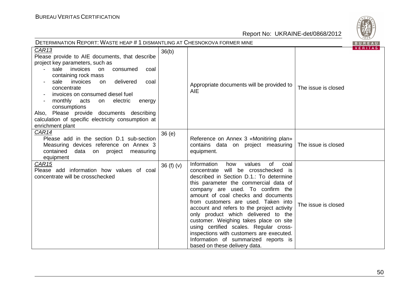

| <b>DETERMINATION REPORT: WASTE HEAP # 1 DISMANTLING AT CHESNOKOVA FORMER MINE</b><br>BUREAU                                                                                                                                                                                                                                                                                                                                                              |             |                                                                                                                                                                                                                                                                                                                                                                                                                                                                                                                                                                                       |                     |                |  |
|----------------------------------------------------------------------------------------------------------------------------------------------------------------------------------------------------------------------------------------------------------------------------------------------------------------------------------------------------------------------------------------------------------------------------------------------------------|-------------|---------------------------------------------------------------------------------------------------------------------------------------------------------------------------------------------------------------------------------------------------------------------------------------------------------------------------------------------------------------------------------------------------------------------------------------------------------------------------------------------------------------------------------------------------------------------------------------|---------------------|----------------|--|
| CAR13<br>Please provide to AIE documents, that describe<br>project key parameters, such as<br>consumed<br>sale<br>invoices<br>on<br>coal<br>containing rock mass<br>delivered<br>sale<br>invoices<br>on<br>coal<br>concentrate<br>invoices on consumed diesel fuel<br>monthly<br>acts<br>electric<br>on<br>energy<br>consumptions<br>Also, Please provide documents describing<br>calculation of specific electricity consumption at<br>enrichment plant | 36(b)       | Appropriate documents will be provided to<br><b>AIE</b>                                                                                                                                                                                                                                                                                                                                                                                                                                                                                                                               | The issue is closed | <b>VERIIAS</b> |  |
| CAR14<br>Please add in the section D.1 sub-section<br>Measuring devices reference on Annex 3<br>contained<br>data<br>on project<br>measuring<br>equipment                                                                                                                                                                                                                                                                                                | 36(e)       | Reference on Annex 3 «Monitiring plan»<br>contains data on project measuring   The issue is closed<br>equipment.                                                                                                                                                                                                                                                                                                                                                                                                                                                                      |                     |                |  |
| CAR <sub>15</sub><br>Please add information how values of coal<br>concentrate will be crosschecked                                                                                                                                                                                                                                                                                                                                                       | 36 $(f)(v)$ | Information<br>values<br>how<br>of<br>coal<br>concentrate will be crosschecked is<br>described in Section D.1.: To determine<br>this parameter the commercial data of<br>company are used. To confirm the<br>amount of coal checks and documents<br>from customers are used. Taken into<br>account and refers to the project activity<br>only product which delivered to the<br>customer. Weighing takes place on site<br>using certified scales. Regular cross-<br>inspections with customers are executed.<br>Information of summarized reports is<br>based on these delivery data. | The issue is closed |                |  |